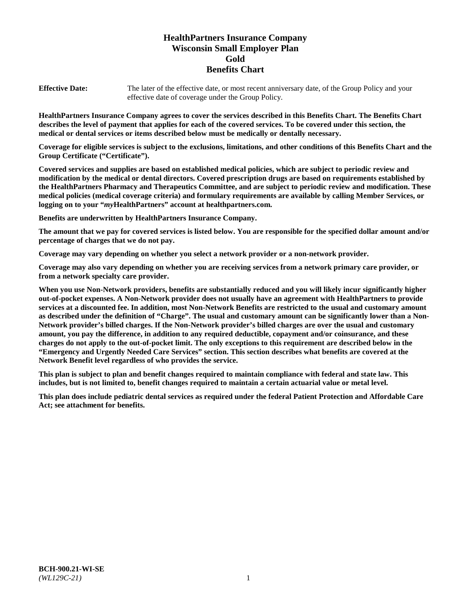# **HealthPartners Insurance Company Wisconsin Small Employer Plan Gold Benefits Chart**

**Effective Date:** The later of the effective date, or most recent anniversary date, of the Group Policy and your effective date of coverage under the Group Policy.

**HealthPartners Insurance Company agrees to cover the services described in this Benefits Chart. The Benefits Chart describes the level of payment that applies for each of the covered services. To be covered under this section, the medical or dental services or items described below must be medically or dentally necessary.**

**Coverage for eligible services is subject to the exclusions, limitations, and other conditions of this Benefits Chart and the Group Certificate ("Certificate").**

**Covered services and supplies are based on established medical policies, which are subject to periodic review and modification by the medical or dental directors. Covered prescription drugs are based on requirements established by the HealthPartners Pharmacy and Therapeutics Committee, and are subject to periodic review and modification. These medical policies (medical coverage criteria) and formulary requirements are available by calling Member Services, or logging on to your "***my***HealthPartners" account at [healthpartners.com.](https://www.healthpartners.com/hp/index.html)**

**Benefits are underwritten by HealthPartners Insurance Company.**

**The amount that we pay for covered services is listed below. You are responsible for the specified dollar amount and/or percentage of charges that we do not pay.**

**Coverage may vary depending on whether you select a network provider or a non-network provider.**

**Coverage may also vary depending on whether you are receiving services from a network primary care provider, or from a network specialty care provider.**

**When you use Non-Network providers, benefits are substantially reduced and you will likely incur significantly higher out-of-pocket expenses. A Non-Network provider does not usually have an agreement with HealthPartners to provide services at a discounted fee. In addition, most Non-Network Benefits are restricted to the usual and customary amount as described under the definition of "Charge". The usual and customary amount can be significantly lower than a Non-Network provider's billed charges. If the Non-Network provider's billed charges are over the usual and customary amount, you pay the difference, in addition to any required deductible, copayment and/or coinsurance, and these charges do not apply to the out-of-pocket limit. The only exceptions to this requirement are described below in the "Emergency and Urgently Needed Care Services" section. This section describes what benefits are covered at the Network Benefit level regardless of who provides the service.**

**This plan is subject to plan and benefit changes required to maintain compliance with federal and state law. This includes, but is not limited to, benefit changes required to maintain a certain actuarial value or metal level.**

**This plan does include pediatric dental services as required under the federal Patient Protection and Affordable Care Act; see attachment for benefits.**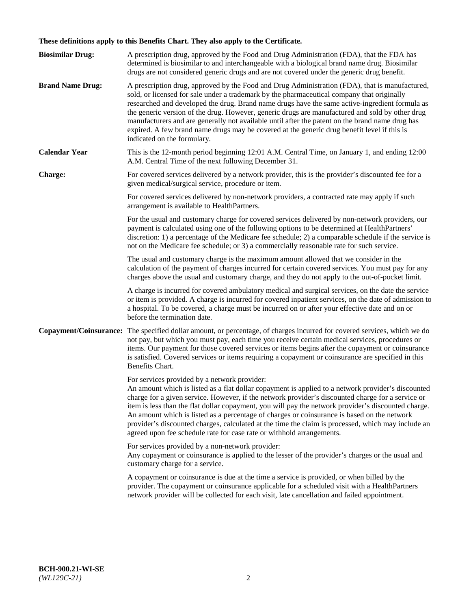# **These definitions apply to this Benefits Chart. They also apply to the Certificate.**

| <b>Biosimilar Drug:</b> | A prescription drug, approved by the Food and Drug Administration (FDA), that the FDA has<br>determined is biosimilar to and interchangeable with a biological brand name drug. Biosimilar<br>drugs are not considered generic drugs and are not covered under the generic drug benefit.                                                                                                                                                                                                                                                                                                                                                     |
|-------------------------|----------------------------------------------------------------------------------------------------------------------------------------------------------------------------------------------------------------------------------------------------------------------------------------------------------------------------------------------------------------------------------------------------------------------------------------------------------------------------------------------------------------------------------------------------------------------------------------------------------------------------------------------|
| <b>Brand Name Drug:</b> | A prescription drug, approved by the Food and Drug Administration (FDA), that is manufactured,<br>sold, or licensed for sale under a trademark by the pharmaceutical company that originally<br>researched and developed the drug. Brand name drugs have the same active-ingredient formula as<br>the generic version of the drug. However, generic drugs are manufactured and sold by other drug<br>manufacturers and are generally not available until after the patent on the brand name drug has<br>expired. A few brand name drugs may be covered at the generic drug benefit level if this is<br>indicated on the formulary.           |
| <b>Calendar Year</b>    | This is the 12-month period beginning 12:01 A.M. Central Time, on January 1, and ending 12:00<br>A.M. Central Time of the next following December 31.                                                                                                                                                                                                                                                                                                                                                                                                                                                                                        |
| <b>Charge:</b>          | For covered services delivered by a network provider, this is the provider's discounted fee for a<br>given medical/surgical service, procedure or item.                                                                                                                                                                                                                                                                                                                                                                                                                                                                                      |
|                         | For covered services delivered by non-network providers, a contracted rate may apply if such<br>arrangement is available to HealthPartners.                                                                                                                                                                                                                                                                                                                                                                                                                                                                                                  |
|                         | For the usual and customary charge for covered services delivered by non-network providers, our<br>payment is calculated using one of the following options to be determined at HealthPartners'<br>discretion: 1) a percentage of the Medicare fee schedule; 2) a comparable schedule if the service is<br>not on the Medicare fee schedule; or 3) a commercially reasonable rate for such service.                                                                                                                                                                                                                                          |
|                         | The usual and customary charge is the maximum amount allowed that we consider in the<br>calculation of the payment of charges incurred for certain covered services. You must pay for any<br>charges above the usual and customary charge, and they do not apply to the out-of-pocket limit.                                                                                                                                                                                                                                                                                                                                                 |
|                         | A charge is incurred for covered ambulatory medical and surgical services, on the date the service<br>or item is provided. A charge is incurred for covered inpatient services, on the date of admission to<br>a hospital. To be covered, a charge must be incurred on or after your effective date and on or<br>before the termination date.                                                                                                                                                                                                                                                                                                |
| Copayment/Coinsurance:  | The specified dollar amount, or percentage, of charges incurred for covered services, which we do<br>not pay, but which you must pay, each time you receive certain medical services, procedures or<br>items. Our payment for those covered services or items begins after the copayment or coinsurance<br>is satisfied. Covered services or items requiring a copayment or coinsurance are specified in this<br>Benefits Chart.                                                                                                                                                                                                             |
|                         | For services provided by a network provider:<br>An amount which is listed as a flat dollar copayment is applied to a network provider's discounted<br>charge for a given service. However, if the network provider's discounted charge for a service or<br>item is less than the flat dollar copayment, you will pay the network provider's discounted charge.<br>An amount which is listed as a percentage of charges or coinsurance is based on the network<br>provider's discounted charges, calculated at the time the claim is processed, which may include an<br>agreed upon fee schedule rate for case rate or withhold arrangements. |
|                         | For services provided by a non-network provider:<br>Any copayment or coinsurance is applied to the lesser of the provider's charges or the usual and<br>customary charge for a service.                                                                                                                                                                                                                                                                                                                                                                                                                                                      |
|                         | A copayment or coinsurance is due at the time a service is provided, or when billed by the<br>provider. The copayment or coinsurance applicable for a scheduled visit with a HealthPartners<br>network provider will be collected for each visit, late cancellation and failed appointment.                                                                                                                                                                                                                                                                                                                                                  |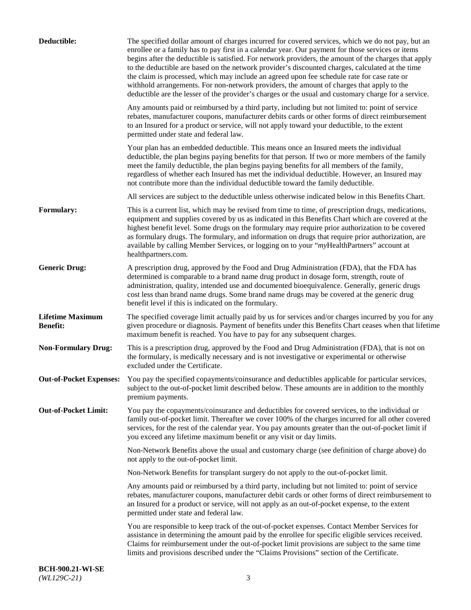| Deductible:                                | The specified dollar amount of charges incurred for covered services, which we do not pay, but an<br>enrollee or a family has to pay first in a calendar year. Our payment for those services or items<br>begins after the deductible is satisfied. For network providers, the amount of the charges that apply<br>to the deductible are based on the network provider's discounted charges, calculated at the time<br>the claim is processed, which may include an agreed upon fee schedule rate for case rate or<br>withhold arrangements. For non-network providers, the amount of charges that apply to the<br>deductible are the lesser of the provider's charges or the usual and customary charge for a service. |
|--------------------------------------------|-------------------------------------------------------------------------------------------------------------------------------------------------------------------------------------------------------------------------------------------------------------------------------------------------------------------------------------------------------------------------------------------------------------------------------------------------------------------------------------------------------------------------------------------------------------------------------------------------------------------------------------------------------------------------------------------------------------------------|
|                                            | Any amounts paid or reimbursed by a third party, including but not limited to: point of service<br>rebates, manufacturer coupons, manufacturer debits cards or other forms of direct reimbursement<br>to an Insured for a product or service, will not apply toward your deductible, to the extent<br>permitted under state and federal law.                                                                                                                                                                                                                                                                                                                                                                            |
|                                            | Your plan has an embedded deductible. This means once an Insured meets the individual<br>deductible, the plan begins paying benefits for that person. If two or more members of the family<br>meet the family deductible, the plan begins paying benefits for all members of the family,<br>regardless of whether each Insured has met the individual deductible. However, an Insured may<br>not contribute more than the individual deductible toward the family deductible.                                                                                                                                                                                                                                           |
|                                            | All services are subject to the deductible unless otherwise indicated below in this Benefits Chart.                                                                                                                                                                                                                                                                                                                                                                                                                                                                                                                                                                                                                     |
| <b>Formulary:</b>                          | This is a current list, which may be revised from time to time, of prescription drugs, medications,<br>equipment and supplies covered by us as indicated in this Benefits Chart which are covered at the<br>highest benefit level. Some drugs on the formulary may require prior authorization to be covered<br>as formulary drugs. The formulary, and information on drugs that require prior authorization, are<br>available by calling Member Services, or logging on to your "myHealthPartners" account at<br>healthpartners.com.                                                                                                                                                                                   |
| <b>Generic Drug:</b>                       | A prescription drug, approved by the Food and Drug Administration (FDA), that the FDA has<br>determined is comparable to a brand name drug product in dosage form, strength, route of<br>administration, quality, intended use and documented bioequivalence. Generally, generic drugs<br>cost less than brand name drugs. Some brand name drugs may be covered at the generic drug<br>benefit level if this is indicated on the formulary.                                                                                                                                                                                                                                                                             |
| <b>Lifetime Maximum</b><br><b>Benefit:</b> | The specified coverage limit actually paid by us for services and/or charges incurred by you for any<br>given procedure or diagnosis. Payment of benefits under this Benefits Chart ceases when that lifetime<br>maximum benefit is reached. You have to pay for any subsequent charges.                                                                                                                                                                                                                                                                                                                                                                                                                                |
| <b>Non-Formulary Drug:</b>                 | This is a prescription drug, approved by the Food and Drug Administration (FDA), that is not on<br>the formulary, is medically necessary and is not investigative or experimental or otherwise<br>excluded under the Certificate.                                                                                                                                                                                                                                                                                                                                                                                                                                                                                       |
|                                            | Out-of-Pocket Expenses: You pay the specified copayments/coinsurance and deductibles applicable for particular services,<br>subject to the out-of-pocket limit described below. These amounts are in addition to the monthly<br>premium payments.                                                                                                                                                                                                                                                                                                                                                                                                                                                                       |
| <b>Out-of-Pocket Limit:</b>                | You pay the copayments/coinsurance and deductibles for covered services, to the individual or<br>family out-of-pocket limit. Thereafter we cover 100% of the charges incurred for all other covered<br>services, for the rest of the calendar year. You pay amounts greater than the out-of-pocket limit if<br>you exceed any lifetime maximum benefit or any visit or day limits.                                                                                                                                                                                                                                                                                                                                      |
|                                            | Non-Network Benefits above the usual and customary charge (see definition of charge above) do<br>not apply to the out-of-pocket limit.                                                                                                                                                                                                                                                                                                                                                                                                                                                                                                                                                                                  |
|                                            | Non-Network Benefits for transplant surgery do not apply to the out-of-pocket limit.                                                                                                                                                                                                                                                                                                                                                                                                                                                                                                                                                                                                                                    |
|                                            | Any amounts paid or reimbursed by a third party, including but not limited to: point of service<br>rebates, manufacturer coupons, manufacturer debit cards or other forms of direct reimbursement to<br>an Insured for a product or service, will not apply as an out-of-pocket expense, to the extent<br>permitted under state and federal law.                                                                                                                                                                                                                                                                                                                                                                        |
|                                            | You are responsible to keep track of the out-of-pocket expenses. Contact Member Services for<br>assistance in determining the amount paid by the enrollee for specific eligible services received.<br>Claims for reimbursement under the out-of-pocket limit provisions are subject to the same time<br>limits and provisions described under the "Claims Provisions" section of the Certificate.                                                                                                                                                                                                                                                                                                                       |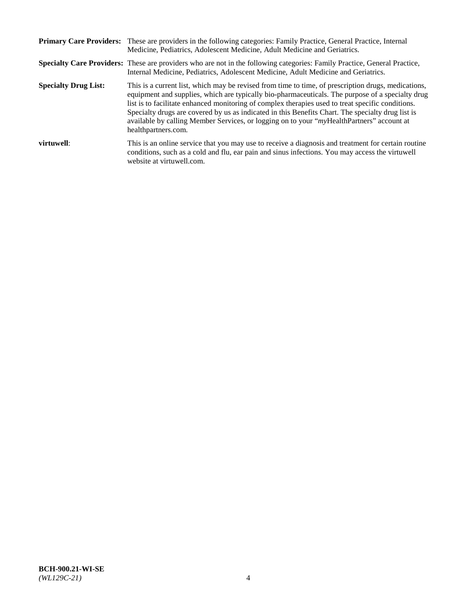|                             | Primary Care Providers: These are providers in the following categories: Family Practice, General Practice, Internal<br>Medicine, Pediatrics, Adolescent Medicine, Adult Medicine and Geriatrics.                                                                                                                                                                                                                                                                                                                                     |  |
|-----------------------------|---------------------------------------------------------------------------------------------------------------------------------------------------------------------------------------------------------------------------------------------------------------------------------------------------------------------------------------------------------------------------------------------------------------------------------------------------------------------------------------------------------------------------------------|--|
|                             | <b>Specialty Care Providers:</b> These are providers who are not in the following categories: Family Practice, General Practice,<br>Internal Medicine, Pediatrics, Adolescent Medicine, Adult Medicine and Geriatrics.                                                                                                                                                                                                                                                                                                                |  |
| <b>Specialty Drug List:</b> | This is a current list, which may be revised from time to time, of prescription drugs, medications,<br>equipment and supplies, which are typically bio-pharmaceuticals. The purpose of a specialty drug<br>list is to facilitate enhanced monitoring of complex therapies used to treat specific conditions.<br>Specialty drugs are covered by us as indicated in this Benefits Chart. The specialty drug list is<br>available by calling Member Services, or logging on to your "myHealthPartners" account at<br>healthpartners.com. |  |
| virtuwell:                  | This is an online service that you may use to receive a diagnosis and treatment for certain routine<br>conditions, such as a cold and flu, ear pain and sinus infections. You may access the virtuwell<br>website at virtuwell.com.                                                                                                                                                                                                                                                                                                   |  |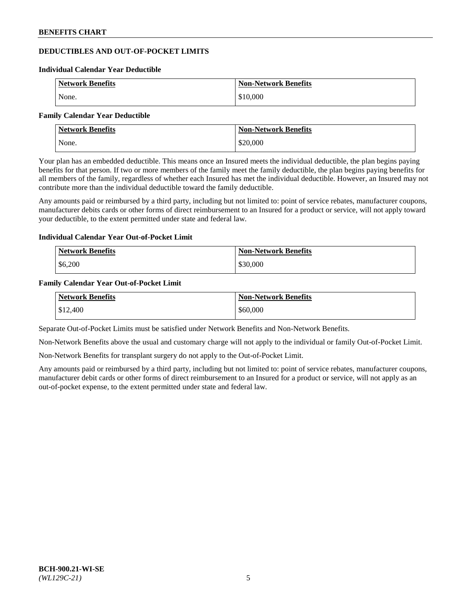# **DEDUCTIBLES AND OUT-OF-POCKET LIMITS**

#### **Individual Calendar Year Deductible**

| <b>Network Benefits</b> | <b>Non-Network Benefits</b> |
|-------------------------|-----------------------------|
| None.                   | \$10,000                    |

#### **Family Calendar Year Deductible**

| <b>Network Benefits</b> | <b>Non-Network Benefits</b> |
|-------------------------|-----------------------------|
| None.                   | \$20,000                    |

Your plan has an embedded deductible. This means once an Insured meets the individual deductible, the plan begins paying benefits for that person. If two or more members of the family meet the family deductible, the plan begins paying benefits for all members of the family, regardless of whether each Insured has met the individual deductible. However, an Insured may not contribute more than the individual deductible toward the family deductible.

Any amounts paid or reimbursed by a third party, including but not limited to: point of service rebates, manufacturer coupons, manufacturer debits cards or other forms of direct reimbursement to an Insured for a product or service, will not apply toward your deductible, to the extent permitted under state and federal law.

### **Individual Calendar Year Out-of-Pocket Limit**

| Network Benefits | <b>Non-Network Benefits</b> |
|------------------|-----------------------------|
| \$6,200          | \$30,000                    |

### **Family Calendar Year Out-of-Pocket Limit**

| <b>Network Benefits</b> | <b>Non-Network Benefits</b> |
|-------------------------|-----------------------------|
| \$12,400                | \$60,000                    |

Separate Out-of-Pocket Limits must be satisfied under Network Benefits and Non-Network Benefits.

Non-Network Benefits above the usual and customary charge will not apply to the individual or family Out-of-Pocket Limit.

Non-Network Benefits for transplant surgery do not apply to the Out-of-Pocket Limit.

Any amounts paid or reimbursed by a third party, including but not limited to: point of service rebates, manufacturer coupons, manufacturer debit cards or other forms of direct reimbursement to an Insured for a product or service, will not apply as an out-of-pocket expense, to the extent permitted under state and federal law.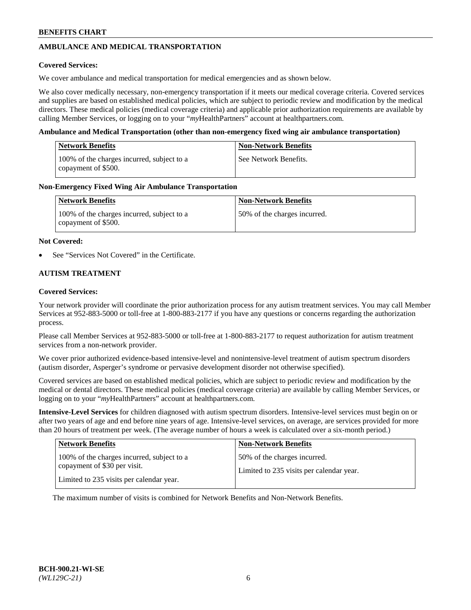# **AMBULANCE AND MEDICAL TRANSPORTATION**

### **Covered Services:**

We cover ambulance and medical transportation for medical emergencies and as shown below.

We also cover medically necessary, non-emergency transportation if it meets our medical coverage criteria. Covered services and supplies are based on established medical policies, which are subject to periodic review and modification by the medical directors. These medical policies (medical coverage criteria) and applicable prior authorization requirements are available by calling Member Services, or logging on to your "*my*HealthPartners" account a[t healthpartners.com.](https://www.healthpartners.com/hp/index.html)

### **Ambulance and Medical Transportation (other than non-emergency fixed wing air ambulance transportation)**

| Network Benefits                                                  | <b>Non-Network Benefits</b> |
|-------------------------------------------------------------------|-----------------------------|
| 100% of the charges incurred, subject to a<br>copayment of \$500. | See Network Benefits.       |

## **Non-Emergency Fixed Wing Air Ambulance Transportation**

| <b>Network Benefits</b>                                           | <b>Non-Network Benefits</b>  |
|-------------------------------------------------------------------|------------------------------|
| 100% of the charges incurred, subject to a<br>copayment of \$500. | 50% of the charges incurred. |

### **Not Covered:**

See "Services Not Covered" in the Certificate.

## **AUTISM TREATMENT**

### **Covered Services:**

Your network provider will coordinate the prior authorization process for any autism treatment services. You may call Member Services at 952-883-5000 or toll-free at 1-800-883-2177 if you have any questions or concerns regarding the authorization process.

Please call Member Services at 952-883-5000 or toll-free at 1-800-883-2177 to request authorization for autism treatment services from a non-network provider.

We cover prior authorized evidence-based intensive-level and nonintensive-level treatment of autism spectrum disorders (autism disorder, Asperger's syndrome or pervasive development disorder not otherwise specified).

Covered services are based on established medical policies, which are subject to periodic review and modification by the medical or dental directors. These medical policies (medical coverage criteria) are available by calling Member Services, or logging on to your "*my*HealthPartners" account at [healthpartners.com.](https://www.healthpartners.com/hp/index.html)

**Intensive-Level Services** for children diagnosed with autism spectrum disorders. Intensive-level services must begin on or after two years of age and end before nine years of age. Intensive-level services, on average, are services provided for more than 20 hours of treatment per week. (The average number of hours a week is calculated over a six-month period.)

| <b>Network Benefits</b>                                                    | <b>Non-Network Benefits</b>                                              |
|----------------------------------------------------------------------------|--------------------------------------------------------------------------|
| 100% of the charges incurred, subject to a<br>copayment of \$30 per visit. | 50% of the charges incurred.<br>Limited to 235 visits per calendar year. |
| Limited to 235 visits per calendar year.                                   |                                                                          |

The maximum number of visits is combined for Network Benefits and Non-Network Benefits.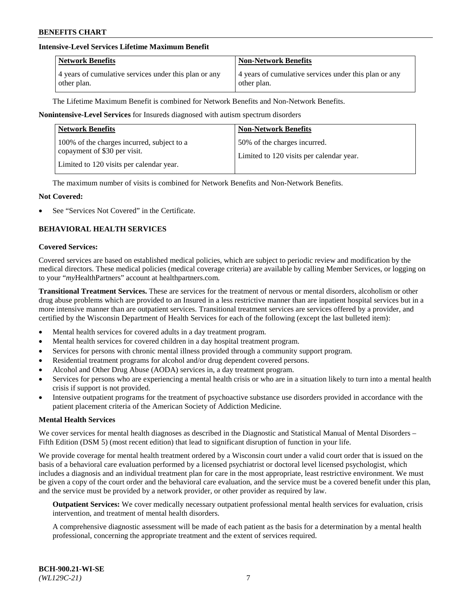## **Intensive-Level Services Lifetime Maximum Benefit**

| <b>Network Benefits</b>                               | <b>Non-Network Benefits</b>                           |
|-------------------------------------------------------|-------------------------------------------------------|
| 4 years of cumulative services under this plan or any | 4 years of cumulative services under this plan or any |
| other plan.                                           | other plan.                                           |

The Lifetime Maximum Benefit is combined for Network Benefits and Non-Network Benefits.

**Nonintensive-Level Services** for Insureds diagnosed with autism spectrum disorders

| <b>Network Benefits</b>                                                    | <b>Non-Network Benefits</b>                                              |
|----------------------------------------------------------------------------|--------------------------------------------------------------------------|
| 100% of the charges incurred, subject to a<br>copayment of \$30 per visit. | 50% of the charges incurred.<br>Limited to 120 visits per calendar year. |
| Limited to 120 visits per calendar year.                                   |                                                                          |

The maximum number of visits is combined for Network Benefits and Non-Network Benefits.

#### **Not Covered:**

See "Services Not Covered" in the Certificate.

## **BEHAVIORAL HEALTH SERVICES**

#### **Covered Services:**

Covered services are based on established medical policies, which are subject to periodic review and modification by the medical directors. These medical policies (medical coverage criteria) are available by calling Member Services, or logging on to your "*my*HealthPartners" account at [healthpartners.com.](https://www.healthpartners.com/hp/index.html)

**Transitional Treatment Services.** These are services for the treatment of nervous or mental disorders, alcoholism or other drug abuse problems which are provided to an Insured in a less restrictive manner than are inpatient hospital services but in a more intensive manner than are outpatient services. Transitional treatment services are services offered by a provider, and certified by the Wisconsin Department of Health Services for each of the following (except the last bulleted item):

- Mental health services for covered adults in a day treatment program.
- Mental health services for covered children in a day hospital treatment program.
- Services for persons with chronic mental illness provided through a community support program.
- Residential treatment programs for alcohol and/or drug dependent covered persons.
- Alcohol and Other Drug Abuse (AODA) services in, a day treatment program.
- Services for persons who are experiencing a mental health crisis or who are in a situation likely to turn into a mental health crisis if support is not provided.
- Intensive outpatient programs for the treatment of psychoactive substance use disorders provided in accordance with the patient placement criteria of the American Society of Addiction Medicine.

## **Mental Health Services**

We cover services for mental health diagnoses as described in the Diagnostic and Statistical Manual of Mental Disorders – Fifth Edition (DSM 5) (most recent edition) that lead to significant disruption of function in your life.

We provide coverage for mental health treatment ordered by a Wisconsin court under a valid court order that is issued on the basis of a behavioral care evaluation performed by a licensed psychiatrist or doctoral level licensed psychologist, which includes a diagnosis and an individual treatment plan for care in the most appropriate, least restrictive environment. We must be given a copy of the court order and the behavioral care evaluation, and the service must be a covered benefit under this plan, and the service must be provided by a network provider, or other provider as required by law.

**Outpatient Services:** We cover medically necessary outpatient professional mental health services for evaluation, crisis intervention, and treatment of mental health disorders.

A comprehensive diagnostic assessment will be made of each patient as the basis for a determination by a mental health professional, concerning the appropriate treatment and the extent of services required.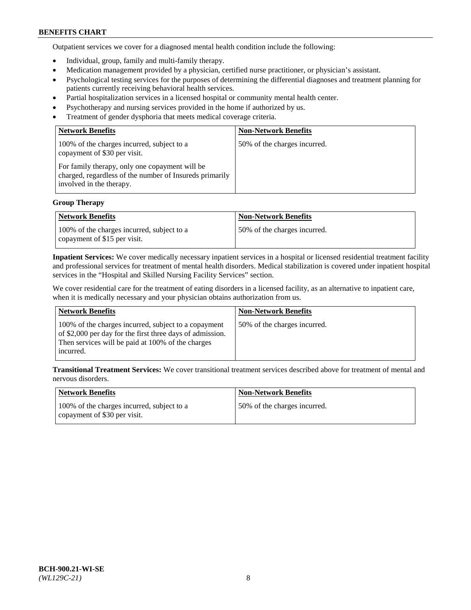Outpatient services we cover for a diagnosed mental health condition include the following:

- Individual, group, family and multi-family therapy.
- Medication management provided by a physician, certified nurse practitioner, or physician's assistant.
- Psychological testing services for the purposes of determining the differential diagnoses and treatment planning for patients currently receiving behavioral health services.
- Partial hospitalization services in a licensed hospital or community mental health center.
- Psychotherapy and nursing services provided in the home if authorized by us.
- Treatment of gender dysphoria that meets medical coverage criteria.

| <b>Network Benefits</b>                                                                                                               | <b>Non-Network Benefits</b>  |
|---------------------------------------------------------------------------------------------------------------------------------------|------------------------------|
| 100% of the charges incurred, subject to a<br>copayment of \$30 per visit.                                                            | 50% of the charges incurred. |
| For family therapy, only one copayment will be<br>charged, regardless of the number of Insureds primarily<br>involved in the therapy. |                              |

#### **Group Therapy**

| Network Benefits                                                           | <b>Non-Network Benefits</b>  |
|----------------------------------------------------------------------------|------------------------------|
| 100% of the charges incurred, subject to a<br>copayment of \$15 per visit. | 50% of the charges incurred. |

**Inpatient Services:** We cover medically necessary inpatient services in a hospital or licensed residential treatment facility and professional services for treatment of mental health disorders. Medical stabilization is covered under inpatient hospital services in the "Hospital and Skilled Nursing Facility Services" section.

We cover residential care for the treatment of eating disorders in a licensed facility, as an alternative to inpatient care, when it is medically necessary and your physician obtains authorization from us.

| Network Benefits                                                                                                                                                                    | <b>Non-Network Benefits</b>  |
|-------------------------------------------------------------------------------------------------------------------------------------------------------------------------------------|------------------------------|
| 100% of the charges incurred, subject to a copayment<br>of \$2,000 per day for the first three days of admission.<br>Then services will be paid at 100% of the charges<br>incurred. | 50% of the charges incurred. |

**Transitional Treatment Services:** We cover transitional treatment services described above for treatment of mental and nervous disorders.

| Network Benefits                                                           | <b>Non-Network Benefits</b>  |
|----------------------------------------------------------------------------|------------------------------|
| 100% of the charges incurred, subject to a<br>copayment of \$30 per visit. | 50% of the charges incurred. |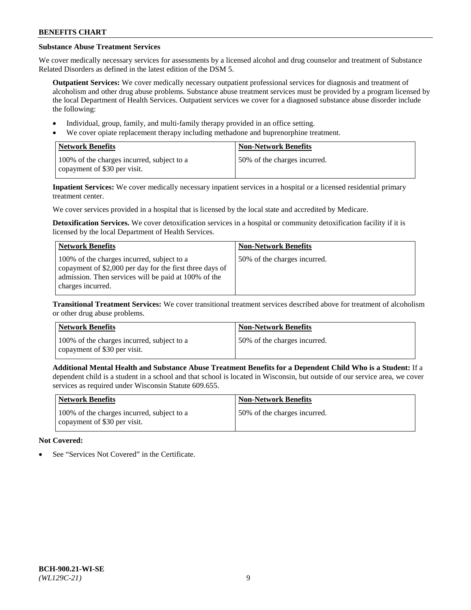# **Substance Abuse Treatment Services**

We cover medically necessary services for assessments by a licensed alcohol and drug counselor and treatment of Substance Related Disorders as defined in the latest edition of the DSM 5.

**Outpatient Services:** We cover medically necessary outpatient professional services for diagnosis and treatment of alcoholism and other drug abuse problems. Substance abuse treatment services must be provided by a program licensed by the local Department of Health Services. Outpatient services we cover for a diagnosed substance abuse disorder include the following:

- Individual, group, family, and multi-family therapy provided in an office setting.
- We cover opiate replacement therapy including methadone and buprenorphine treatment.

| <b>Network Benefits</b>                                                    | <b>Non-Network Benefits</b>  |
|----------------------------------------------------------------------------|------------------------------|
| 100% of the charges incurred, subject to a<br>copayment of \$30 per visit. | 50% of the charges incurred. |

**Inpatient Services:** We cover medically necessary inpatient services in a hospital or a licensed residential primary treatment center.

We cover services provided in a hospital that is licensed by the local state and accredited by Medicare.

**Detoxification Services.** We cover detoxification services in a hospital or community detoxification facility if it is licensed by the local Department of Health Services.

| <b>Network Benefits</b>                                                                                                                                                             | <b>Non-Network Benefits</b>  |
|-------------------------------------------------------------------------------------------------------------------------------------------------------------------------------------|------------------------------|
| 100% of the charges incurred, subject to a<br>copayment of \$2,000 per day for the first three days of<br>admission. Then services will be paid at 100% of the<br>charges incurred. | 50% of the charges incurred. |

**Transitional Treatment Services:** We cover transitional treatment services described above for treatment of alcoholism or other drug abuse problems.

| Network Benefits                                                           | <b>Non-Network Benefits</b>  |
|----------------------------------------------------------------------------|------------------------------|
| 100% of the charges incurred, subject to a<br>copayment of \$30 per visit. | 50% of the charges incurred. |

**Additional Mental Health and Substance Abuse Treatment Benefits for a Dependent Child Who is a Student:** If a dependent child is a student in a school and that school is located in Wisconsin, but outside of our service area, we cover services as required under Wisconsin Statute 609.655.

| <b>Network Benefits</b>                                                    | <b>Non-Network Benefits</b>  |
|----------------------------------------------------------------------------|------------------------------|
| 100% of the charges incurred, subject to a<br>copayment of \$30 per visit. | 50% of the charges incurred. |

# **Not Covered:**

See "Services Not Covered" in the Certificate.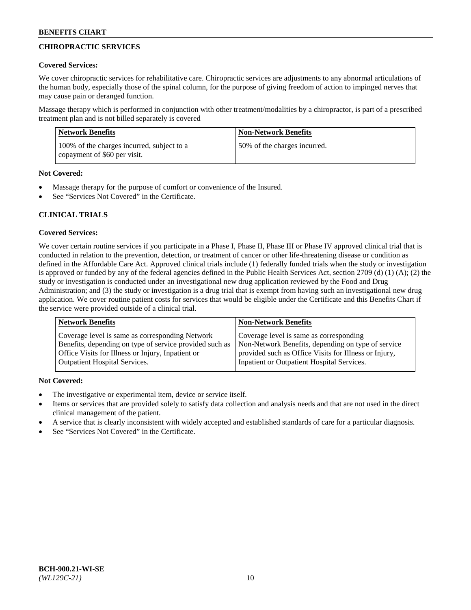# **CHIROPRACTIC SERVICES**

## **Covered Services:**

We cover chiropractic services for rehabilitative care. Chiropractic services are adjustments to any abnormal articulations of the human body, especially those of the spinal column, for the purpose of giving freedom of action to impinged nerves that may cause pain or deranged function.

Massage therapy which is performed in conjunction with other treatment/modalities by a chiropractor, is part of a prescribed treatment plan and is not billed separately is covered

| <b>Network Benefits</b>                                                    | <b>Non-Network Benefits</b>  |
|----------------------------------------------------------------------------|------------------------------|
| 100% of the charges incurred, subject to a<br>copayment of \$60 per visit. | 50% of the charges incurred. |

## **Not Covered:**

- Massage therapy for the purpose of comfort or convenience of the Insured.
- See "Services Not Covered" in the Certificate.

## **CLINICAL TRIALS**

## **Covered Services:**

We cover certain routine services if you participate in a Phase I, Phase II, Phase III or Phase IV approved clinical trial that is conducted in relation to the prevention, detection, or treatment of cancer or other life-threatening disease or condition as defined in the Affordable Care Act. Approved clinical trials include (1) federally funded trials when the study or investigation is approved or funded by any of the federal agencies defined in the Public Health Services Act, section 2709 (d) (1) (A); (2) the study or investigation is conducted under an investigational new drug application reviewed by the Food and Drug Administration; and (3) the study or investigation is a drug trial that is exempt from having such an investigational new drug application. We cover routine patient costs for services that would be eligible under the Certificate and this Benefits Chart if the service were provided outside of a clinical trial.

| <b>Network Benefits</b>                                 | <b>Non-Network Benefits</b>                           |
|---------------------------------------------------------|-------------------------------------------------------|
| Coverage level is same as corresponding Network         | Coverage level is same as corresponding               |
| Benefits, depending on type of service provided such as | Non-Network Benefits, depending on type of service    |
| Office Visits for Illness or Injury, Inpatient or       | provided such as Office Visits for Illness or Injury, |
| <b>Outpatient Hospital Services.</b>                    | Inpatient or Outpatient Hospital Services.            |

## **Not Covered:**

- The investigative or experimental item, device or service itself.
- Items or services that are provided solely to satisfy data collection and analysis needs and that are not used in the direct clinical management of the patient.
- A service that is clearly inconsistent with widely accepted and established standards of care for a particular diagnosis.
- See "Services Not Covered" in the Certificate.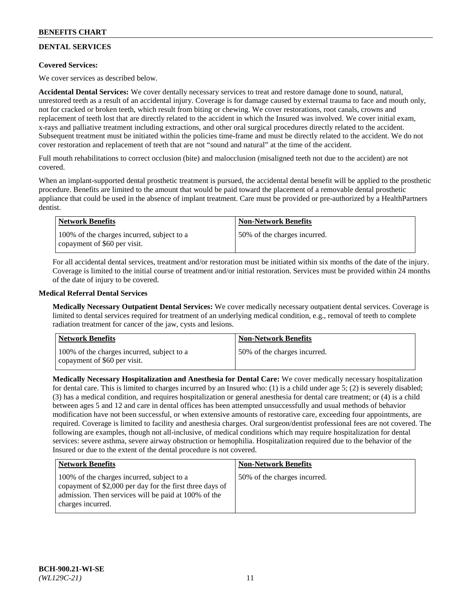# **DENTAL SERVICES**

## **Covered Services:**

We cover services as described below.

**Accidental Dental Services:** We cover dentally necessary services to treat and restore damage done to sound, natural, unrestored teeth as a result of an accidental injury. Coverage is for damage caused by external trauma to face and mouth only, not for cracked or broken teeth, which result from biting or chewing. We cover restorations, root canals, crowns and replacement of teeth lost that are directly related to the accident in which the Insured was involved. We cover initial exam, x-rays and palliative treatment including extractions, and other oral surgical procedures directly related to the accident. Subsequent treatment must be initiated within the policies time-frame and must be directly related to the accident. We do not cover restoration and replacement of teeth that are not "sound and natural" at the time of the accident.

Full mouth rehabilitations to correct occlusion (bite) and malocclusion (misaligned teeth not due to the accident) are not covered.

When an implant-supported dental prosthetic treatment is pursued, the accidental dental benefit will be applied to the prosthetic procedure. Benefits are limited to the amount that would be paid toward the placement of a removable dental prosthetic appliance that could be used in the absence of implant treatment. Care must be provided or pre-authorized by a HealthPartners dentist.

| Network Benefits                                                           | <b>Non-Network Benefits</b>  |
|----------------------------------------------------------------------------|------------------------------|
| 100% of the charges incurred, subject to a<br>copayment of \$60 per visit. | 50% of the charges incurred. |

For all accidental dental services, treatment and/or restoration must be initiated within six months of the date of the injury. Coverage is limited to the initial course of treatment and/or initial restoration. Services must be provided within 24 months of the date of injury to be covered.

## **Medical Referral Dental Services**

**Medically Necessary Outpatient Dental Services:** We cover medically necessary outpatient dental services. Coverage is limited to dental services required for treatment of an underlying medical condition, e.g., removal of teeth to complete radiation treatment for cancer of the jaw, cysts and lesions.

| <b>Network Benefits</b>                                                    | <b>Non-Network Benefits</b>  |
|----------------------------------------------------------------------------|------------------------------|
| 100% of the charges incurred, subject to a<br>copayment of \$60 per visit. | 50% of the charges incurred. |

**Medically Necessary Hospitalization and Anesthesia for Dental Care:** We cover medically necessary hospitalization for dental care. This is limited to charges incurred by an Insured who: (1) is a child under age 5; (2) is severely disabled; (3) has a medical condition, and requires hospitalization or general anesthesia for dental care treatment; or (4) is a child between ages 5 and 12 and care in dental offices has been attempted unsuccessfully and usual methods of behavior modification have not been successful, or when extensive amounts of restorative care, exceeding four appointments, are required. Coverage is limited to facility and anesthesia charges. Oral surgeon/dentist professional fees are not covered. The following are examples, though not all-inclusive, of medical conditions which may require hospitalization for dental services: severe asthma, severe airway obstruction or hemophilia. Hospitalization required due to the behavior of the Insured or due to the extent of the dental procedure is not covered.

| <b>Network Benefits</b>                                                                                                                                                             | <b>Non-Network Benefits</b>  |
|-------------------------------------------------------------------------------------------------------------------------------------------------------------------------------------|------------------------------|
| 100% of the charges incurred, subject to a<br>copayment of \$2,000 per day for the first three days of<br>admission. Then services will be paid at 100% of the<br>charges incurred. | 50% of the charges incurred. |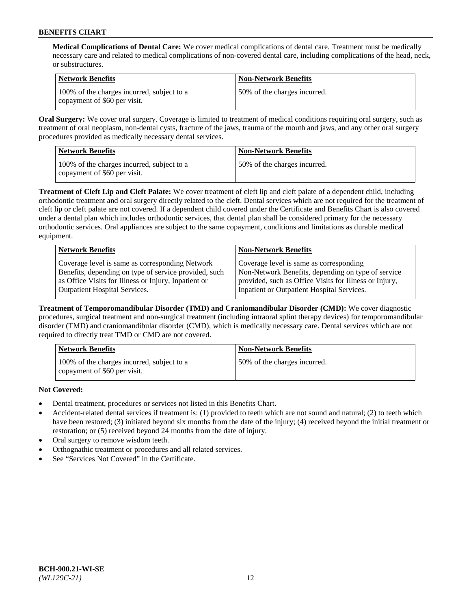**Medical Complications of Dental Care:** We cover medical complications of dental care. Treatment must be medically necessary care and related to medical complications of non-covered dental care, including complications of the head, neck, or substructures.

| Network Benefits                                                           | <b>Non-Network Benefits</b>  |
|----------------------------------------------------------------------------|------------------------------|
| 100% of the charges incurred, subject to a<br>copayment of \$60 per visit. | 50% of the charges incurred. |

**Oral Surgery:** We cover oral surgery. Coverage is limited to treatment of medical conditions requiring oral surgery, such as treatment of oral neoplasm, non-dental cysts, fracture of the jaws, trauma of the mouth and jaws, and any other oral surgery procedures provided as medically necessary dental services.

| <b>Network Benefits</b>                                                    | <b>Non-Network Benefits</b>  |
|----------------------------------------------------------------------------|------------------------------|
| 100% of the charges incurred, subject to a<br>copayment of \$60 per visit. | 50% of the charges incurred. |

**Treatment of Cleft Lip and Cleft Palate:** We cover treatment of cleft lip and cleft palate of a dependent child, including orthodontic treatment and oral surgery directly related to the cleft. Dental services which are not required for the treatment of cleft lip or cleft palate are not covered. If a dependent child covered under the Certificate and Benefits Chart is also covered under a dental plan which includes orthodontic services, that dental plan shall be considered primary for the necessary orthodontic services. Oral appliances are subject to the same copayment, conditions and limitations as durable medical equipment.

| <b>Network Benefits</b>                               | <b>Non-Network Benefits</b>                            |
|-------------------------------------------------------|--------------------------------------------------------|
| Coverage level is same as corresponding Network       | Coverage level is same as corresponding                |
| Benefits, depending on type of service provided, such | Non-Network Benefits, depending on type of service     |
| as Office Visits for Illness or Injury, Inpatient or  | provided, such as Office Visits for Illness or Injury, |
| Outpatient Hospital Services.                         | Inpatient or Outpatient Hospital Services.             |

**Treatment of Temporomandibular Disorder (TMD) and Craniomandibular Disorder (CMD):** We cover diagnostic procedures, surgical treatment and non-surgical treatment (including intraoral splint therapy devices) for temporomandibular disorder (TMD) and craniomandibular disorder (CMD), which is medically necessary care. Dental services which are not required to directly treat TMD or CMD are not covered.

| <b>Network Benefits</b>                                                    | <b>Non-Network Benefits</b>  |
|----------------------------------------------------------------------------|------------------------------|
| 100% of the charges incurred, subject to a<br>copayment of \$60 per visit. | 50% of the charges incurred. |

**Not Covered:**

- Dental treatment, procedures or services not listed in this Benefits Chart.
- Accident-related dental services if treatment is: (1) provided to teeth which are not sound and natural; (2) to teeth which have been restored; (3) initiated beyond six months from the date of the injury; (4) received beyond the initial treatment or restoration; or (5) received beyond 24 months from the date of injury.
- Oral surgery to remove wisdom teeth.
- Orthognathic treatment or procedures and all related services.
- See "Services Not Covered" in the Certificate.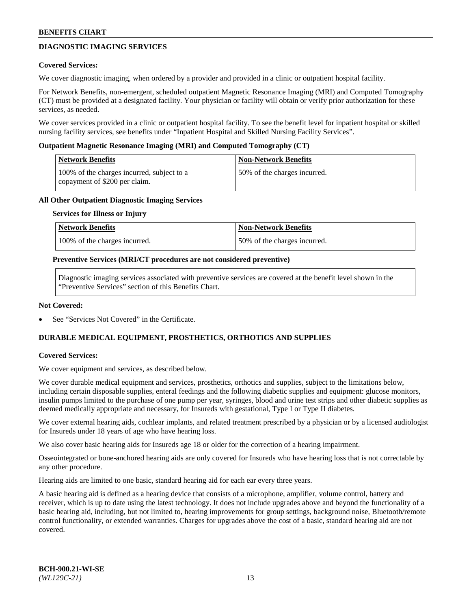## **DIAGNOSTIC IMAGING SERVICES**

### **Covered Services:**

We cover diagnostic imaging, when ordered by a provider and provided in a clinic or outpatient hospital facility.

For Network Benefits, non-emergent, scheduled outpatient Magnetic Resonance Imaging (MRI) and Computed Tomography (CT) must be provided at a designated facility. Your physician or facility will obtain or verify prior authorization for these services, as needed.

We cover services provided in a clinic or outpatient hospital facility. To see the benefit level for inpatient hospital or skilled nursing facility services, see benefits under "Inpatient Hospital and Skilled Nursing Facility Services".

### **Outpatient Magnetic Resonance Imaging (MRI) and Computed Tomography (CT)**

| <b>Network Benefits</b>                                                     | <b>Non-Network Benefits</b>  |
|-----------------------------------------------------------------------------|------------------------------|
| 100% of the charges incurred, subject to a<br>copayment of \$200 per claim. | 50% of the charges incurred. |

### **All Other Outpatient Diagnostic Imaging Services**

### **Services for Illness or Injury**

| Network Benefits              | Non-Network Benefits         |
|-------------------------------|------------------------------|
| 100% of the charges incurred. | 50% of the charges incurred. |

#### **Preventive Services (MRI/CT procedures are not considered preventive)**

Diagnostic imaging services associated with preventive services are covered at the benefit level shown in the "Preventive Services" section of this Benefits Chart.

#### **Not Covered:**

See "Services Not Covered" in the Certificate.

## **DURABLE MEDICAL EQUIPMENT, PROSTHETICS, ORTHOTICS AND SUPPLIES**

#### **Covered Services:**

We cover equipment and services, as described below.

We cover durable medical equipment and services, prosthetics, orthotics and supplies, subject to the limitations below, including certain disposable supplies, enteral feedings and the following diabetic supplies and equipment: glucose monitors, insulin pumps limited to the purchase of one pump per year, syringes, blood and urine test strips and other diabetic supplies as deemed medically appropriate and necessary, for Insureds with gestational, Type I or Type II diabetes.

We cover external hearing aids, cochlear implants, and related treatment prescribed by a physician or by a licensed audiologist for Insureds under 18 years of age who have hearing loss.

We also cover basic hearing aids for Insureds age 18 or older for the correction of a hearing impairment.

Osseointegrated or bone-anchored hearing aids are only covered for Insureds who have hearing loss that is not correctable by any other procedure.

Hearing aids are limited to one basic, standard hearing aid for each ear every three years.

A basic hearing aid is defined as a hearing device that consists of a microphone, amplifier, volume control, battery and receiver, which is up to date using the latest technology. It does not include upgrades above and beyond the functionality of a basic hearing aid, including, but not limited to, hearing improvements for group settings, background noise, Bluetooth/remote control functionality, or extended warranties. Charges for upgrades above the cost of a basic, standard hearing aid are not covered.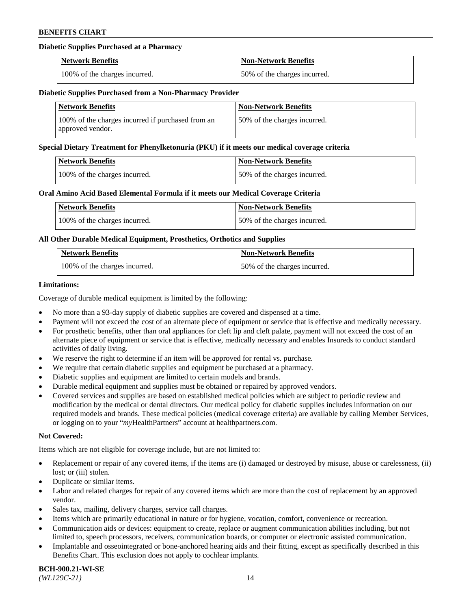## **Diabetic Supplies Purchased at a Pharmacy**

| <b>Network Benefits</b>       | <b>Non-Network Benefits</b>  |
|-------------------------------|------------------------------|
| 100% of the charges incurred. | 50% of the charges incurred. |

#### **Diabetic Supplies Purchased from a Non-Pharmacy Provider**

| <b>Network Benefits</b>                                               | <b>Non-Network Benefits</b>  |
|-----------------------------------------------------------------------|------------------------------|
| 100% of the charges incurred if purchased from an<br>approved vendor. | 50% of the charges incurred. |

#### **Special Dietary Treatment for Phenylketonuria (PKU) if it meets our medical coverage criteria**

| <b>Network Benefits</b>       | <b>Non-Network Benefits</b>  |
|-------------------------------|------------------------------|
| 100% of the charges incurred. | 50% of the charges incurred. |

### **Oral Amino Acid Based Elemental Formula if it meets our Medical Coverage Criteria**

| <b>Network Benefits</b>       | <b>Non-Network Benefits</b>  |
|-------------------------------|------------------------------|
| 100% of the charges incurred. | 50% of the charges incurred. |

### **All Other Durable Medical Equipment, Prosthetics, Orthotics and Supplies**

| <b>Network Benefits</b>       | <b>Non-Network Benefits</b>  |
|-------------------------------|------------------------------|
| 100% of the charges incurred. | 50% of the charges incurred. |

### **Limitations:**

Coverage of durable medical equipment is limited by the following:

- No more than a 93-day supply of diabetic supplies are covered and dispensed at a time.
- Payment will not exceed the cost of an alternate piece of equipment or service that is effective and medically necessary.
- For prosthetic benefits, other than oral appliances for cleft lip and cleft palate, payment will not exceed the cost of an alternate piece of equipment or service that is effective, medically necessary and enables Insureds to conduct standard activities of daily living.
- We reserve the right to determine if an item will be approved for rental vs. purchase.
- We require that certain diabetic supplies and equipment be purchased at a pharmacy.
- Diabetic supplies and equipment are limited to certain models and brands.
- Durable medical equipment and supplies must be obtained or repaired by approved vendors.
- Covered services and supplies are based on established medical policies which are subject to periodic review and modification by the medical or dental directors. Our medical policy for diabetic supplies includes information on our required models and brands. These medical policies (medical coverage criteria) are available by calling Member Services, or logging on to your "*my*HealthPartners" account a[t healthpartners.com.](https://www.healthpartners.com/hp/index.html)

## **Not Covered:**

Items which are not eligible for coverage include, but are not limited to:

- Replacement or repair of any covered items, if the items are (i) damaged or destroyed by misuse, abuse or carelessness, (ii) lost; or (iii) stolen.
- Duplicate or similar items.
- Labor and related charges for repair of any covered items which are more than the cost of replacement by an approved vendor.
- Sales tax, mailing, delivery charges, service call charges.
- Items which are primarily educational in nature or for hygiene, vocation, comfort, convenience or recreation.
- Communication aids or devices: equipment to create, replace or augment communication abilities including, but not limited to, speech processors, receivers, communication boards, or computer or electronic assisted communication.
- Implantable and osseointegrated or bone-anchored hearing aids and their fitting, except as specifically described in this Benefits Chart. This exclusion does not apply to cochlear implants.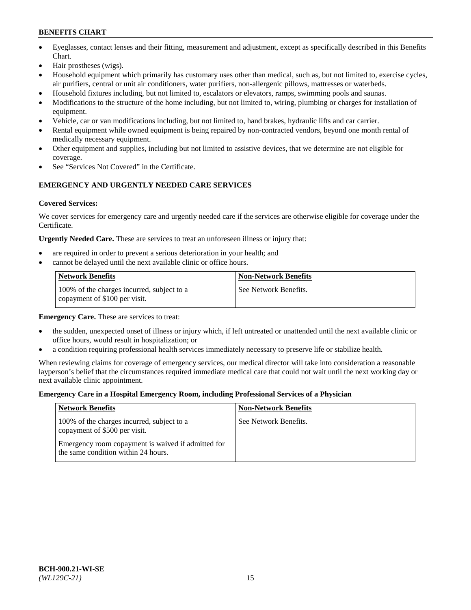- Eyeglasses, contact lenses and their fitting, measurement and adjustment, except as specifically described in this Benefits Chart.
- Hair prostheses (wigs).
- Household equipment which primarily has customary uses other than medical, such as, but not limited to, exercise cycles, air purifiers, central or unit air conditioners, water purifiers, non-allergenic pillows, mattresses or waterbeds.
- Household fixtures including, but not limited to, escalators or elevators, ramps, swimming pools and saunas.
- Modifications to the structure of the home including, but not limited to, wiring, plumbing or charges for installation of equipment.
- Vehicle, car or van modifications including, but not limited to, hand brakes, hydraulic lifts and car carrier.
- Rental equipment while owned equipment is being repaired by non-contracted vendors, beyond one month rental of medically necessary equipment.
- Other equipment and supplies, including but not limited to assistive devices, that we determine are not eligible for coverage.
- See "Services Not Covered" in the Certificate.

## **EMERGENCY AND URGENTLY NEEDED CARE SERVICES**

## **Covered Services:**

We cover services for emergency care and urgently needed care if the services are otherwise eligible for coverage under the Certificate.

**Urgently Needed Care.** These are services to treat an unforeseen illness or injury that:

- are required in order to prevent a serious deterioration in your health; and
- cannot be delayed until the next available clinic or office hours.

| Network Benefits                                                            | <b>Non-Network Benefits</b> |
|-----------------------------------------------------------------------------|-----------------------------|
| 100% of the charges incurred, subject to a<br>copayment of \$100 per visit. | See Network Benefits.       |

**Emergency Care.** These are services to treat:

- the sudden, unexpected onset of illness or injury which, if left untreated or unattended until the next available clinic or office hours, would result in hospitalization; or
- a condition requiring professional health services immediately necessary to preserve life or stabilize health.

When reviewing claims for coverage of emergency services, our medical director will take into consideration a reasonable layperson's belief that the circumstances required immediate medical care that could not wait until the next working day or next available clinic appointment.

## **Emergency Care in a Hospital Emergency Room, including Professional Services of a Physician**

| <b>Network Benefits</b>                                                                   | <b>Non-Network Benefits</b> |
|-------------------------------------------------------------------------------------------|-----------------------------|
| 100% of the charges incurred, subject to a<br>copayment of \$500 per visit.               | See Network Benefits.       |
| Emergency room copayment is waived if admitted for<br>the same condition within 24 hours. |                             |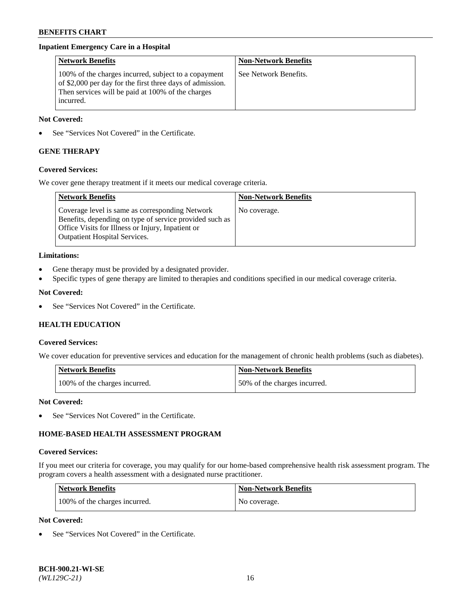## **Inpatient Emergency Care in a Hospital**

| <b>Network Benefits</b>                                                                                                                                                             | <b>Non-Network Benefits</b> |
|-------------------------------------------------------------------------------------------------------------------------------------------------------------------------------------|-----------------------------|
| 100% of the charges incurred, subject to a copayment<br>of \$2,000 per day for the first three days of admission.<br>Then services will be paid at 100% of the charges<br>incurred. | See Network Benefits.       |

### **Not Covered:**

See "Services Not Covered" in the Certificate.

## **GENE THERAPY**

## **Covered Services:**

We cover gene therapy treatment if it meets our medical coverage criteria.

| <b>Network Benefits</b>                                                                                                                                                                          | <b>Non-Network Benefits</b> |
|--------------------------------------------------------------------------------------------------------------------------------------------------------------------------------------------------|-----------------------------|
| Coverage level is same as corresponding Network<br>Benefits, depending on type of service provided such as<br>Office Visits for Illness or Injury, Inpatient or<br>Outpatient Hospital Services. | No coverage.                |

### **Limitations:**

- Gene therapy must be provided by a designated provider.
- Specific types of gene therapy are limited to therapies and conditions specified in our medical coverage criteria.

### **Not Covered:**

• See "Services Not Covered" in the Certificate.

## **HEALTH EDUCATION**

#### **Covered Services:**

We cover education for preventive services and education for the management of chronic health problems (such as diabetes).

| <b>Network Benefits</b>       | <b>Non-Network Benefits</b>  |
|-------------------------------|------------------------------|
| 100% of the charges incurred. | 50% of the charges incurred. |

## **Not Covered:**

See "Services Not Covered" in the Certificate.

## **HOME-BASED HEALTH ASSESSMENT PROGRAM**

#### **Covered Services:**

If you meet our criteria for coverage, you may qualify for our home-based comprehensive health risk assessment program. The program covers a health assessment with a designated nurse practitioner.

| Network Benefits              | <b>Non-Network Benefits</b> |
|-------------------------------|-----------------------------|
| 100% of the charges incurred. | No coverage.                |

### **Not Covered:**

See "Services Not Covered" in the Certificate.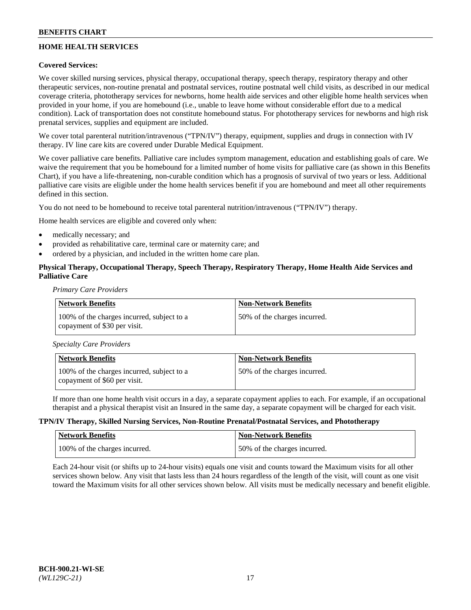## **HOME HEALTH SERVICES**

## **Covered Services:**

We cover skilled nursing services, physical therapy, occupational therapy, speech therapy, respiratory therapy and other therapeutic services, non-routine prenatal and postnatal services, routine postnatal well child visits, as described in our medical coverage criteria, phototherapy services for newborns, home health aide services and other eligible home health services when provided in your home, if you are homebound (i.e., unable to leave home without considerable effort due to a medical condition). Lack of transportation does not constitute homebound status. For phototherapy services for newborns and high risk prenatal services, supplies and equipment are included.

We cover total parenteral nutrition/intravenous ("TPN/IV") therapy, equipment, supplies and drugs in connection with IV therapy. IV line care kits are covered under Durable Medical Equipment.

We cover palliative care benefits. Palliative care includes symptom management, education and establishing goals of care. We waive the requirement that you be homebound for a limited number of home visits for palliative care (as shown in this Benefits Chart), if you have a life-threatening, non-curable condition which has a prognosis of survival of two years or less. Additional palliative care visits are eligible under the home health services benefit if you are homebound and meet all other requirements defined in this section.

You do not need to be homebound to receive total parenteral nutrition/intravenous ("TPN/IV") therapy.

Home health services are eligible and covered only when:

- medically necessary; and
- provided as rehabilitative care, terminal care or maternity care; and
- ordered by a physician, and included in the written home care plan.

## **Physical Therapy, Occupational Therapy, Speech Therapy, Respiratory Therapy, Home Health Aide Services and Palliative Care**

*Primary Care Providers*

| <b>Network Benefits</b>                                                    | <b>Non-Network Benefits</b>  |
|----------------------------------------------------------------------------|------------------------------|
| 100% of the charges incurred, subject to a<br>copayment of \$30 per visit. | 50% of the charges incurred. |

*Specialty Care Providers*

| Network Benefits                                                           | Non-Network Benefits         |
|----------------------------------------------------------------------------|------------------------------|
| 100% of the charges incurred, subject to a<br>copayment of \$60 per visit. | 50% of the charges incurred. |

If more than one home health visit occurs in a day, a separate copayment applies to each. For example, if an occupational therapist and a physical therapist visit an Insured in the same day, a separate copayment will be charged for each visit.

#### **TPN/IV Therapy, Skilled Nursing Services, Non-Routine Prenatal/Postnatal Services, and Phototherapy**

| <b>Network Benefits</b>       | Non-Network Benefits         |
|-------------------------------|------------------------------|
| 100% of the charges incurred. | 50% of the charges incurred. |

Each 24-hour visit (or shifts up to 24-hour visits) equals one visit and counts toward the Maximum visits for all other services shown below. Any visit that lasts less than 24 hours regardless of the length of the visit, will count as one visit toward the Maximum visits for all other services shown below. All visits must be medically necessary and benefit eligible.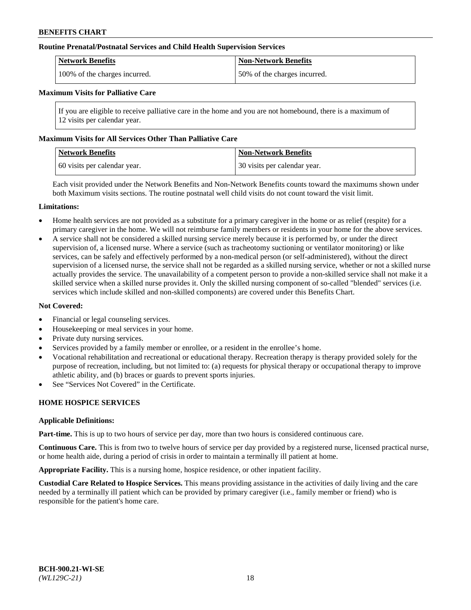### **Routine Prenatal/Postnatal Services and Child Health Supervision Services**

| <b>Network Benefits</b>       | <b>Non-Network Benefits</b>  |
|-------------------------------|------------------------------|
| 100% of the charges incurred. | 50% of the charges incurred. |

## **Maximum Visits for Palliative Care**

If you are eligible to receive palliative care in the home and you are not homebound, there is a maximum of 12 visits per calendar year.

### **Maximum Visits for All Services Other Than Palliative Care**

| <b>Network Benefits</b>      | <b>Non-Network Benefits</b>    |
|------------------------------|--------------------------------|
| 60 visits per calendar year. | 1 30 visits per calendar year. |

Each visit provided under the Network Benefits and Non-Network Benefits counts toward the maximums shown under both Maximum visits sections. The routine postnatal well child visits do not count toward the visit limit.

### **Limitations:**

- Home health services are not provided as a substitute for a primary caregiver in the home or as relief (respite) for a primary caregiver in the home. We will not reimburse family members or residents in your home for the above services.
- A service shall not be considered a skilled nursing service merely because it is performed by, or under the direct supervision of, a licensed nurse. Where a service (such as tracheotomy suctioning or ventilator monitoring) or like services, can be safely and effectively performed by a non-medical person (or self-administered), without the direct supervision of a licensed nurse, the service shall not be regarded as a skilled nursing service, whether or not a skilled nurse actually provides the service. The unavailability of a competent person to provide a non-skilled service shall not make it a skilled service when a skilled nurse provides it. Only the skilled nursing component of so-called "blended" services (i.e. services which include skilled and non-skilled components) are covered under this Benefits Chart.

#### **Not Covered:**

- Financial or legal counseling services.
- Housekeeping or meal services in your home.
- Private duty nursing services.
- Services provided by a family member or enrollee, or a resident in the enrollee's home.
- Vocational rehabilitation and recreational or educational therapy. Recreation therapy is therapy provided solely for the purpose of recreation, including, but not limited to: (a) requests for physical therapy or occupational therapy to improve athletic ability, and (b) braces or guards to prevent sports injuries.
- See "Services Not Covered" in the Certificate.

## **HOME HOSPICE SERVICES**

#### **Applicable Definitions:**

**Part-time.** This is up to two hours of service per day, more than two hours is considered continuous care.

**Continuous Care.** This is from two to twelve hours of service per day provided by a registered nurse, licensed practical nurse, or home health aide, during a period of crisis in order to maintain a terminally ill patient at home.

**Appropriate Facility.** This is a nursing home, hospice residence, or other inpatient facility.

**Custodial Care Related to Hospice Services.** This means providing assistance in the activities of daily living and the care needed by a terminally ill patient which can be provided by primary caregiver (i.e., family member or friend) who is responsible for the patient's home care.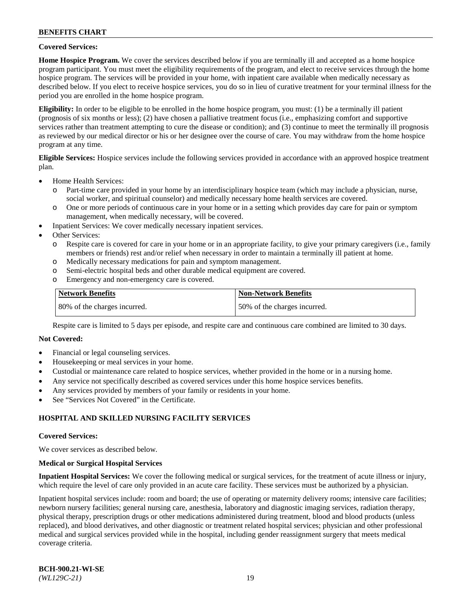### **Covered Services:**

**Home Hospice Program.** We cover the services described below if you are terminally ill and accepted as a home hospice program participant. You must meet the eligibility requirements of the program, and elect to receive services through the home hospice program. The services will be provided in your home, with inpatient care available when medically necessary as described below. If you elect to receive hospice services, you do so in lieu of curative treatment for your terminal illness for the period you are enrolled in the home hospice program.

**Eligibility:** In order to be eligible to be enrolled in the home hospice program, you must: (1) be a terminally ill patient (prognosis of six months or less); (2) have chosen a palliative treatment focus (i.e., emphasizing comfort and supportive services rather than treatment attempting to cure the disease or condition); and (3) continue to meet the terminally ill prognosis as reviewed by our medical director or his or her designee over the course of care. You may withdraw from the home hospice program at any time.

**Eligible Services:** Hospice services include the following services provided in accordance with an approved hospice treatment plan.

- Home Health Services:
	- o Part-time care provided in your home by an interdisciplinary hospice team (which may include a physician, nurse, social worker, and spiritual counselor) and medically necessary home health services are covered.
	- o One or more periods of continuous care in your home or in a setting which provides day care for pain or symptom management, when medically necessary, will be covered.
	- Inpatient Services: We cover medically necessary inpatient services.
- Other Services:
	- o Respite care is covered for care in your home or in an appropriate facility, to give your primary caregivers (i.e., family members or friends) rest and/or relief when necessary in order to maintain a terminally ill patient at home.
	- o Medically necessary medications for pain and symptom management.
	- o Semi-electric hospital beds and other durable medical equipment are covered.
	- o Emergency and non-emergency care is covered.

| Network Benefits             | <b>Non-Network Benefits</b>  |
|------------------------------|------------------------------|
| 80% of the charges incurred. | 50% of the charges incurred. |

Respite care is limited to 5 days per episode, and respite care and continuous care combined are limited to 30 days.

## **Not Covered:**

- Financial or legal counseling services.
- Housekeeping or meal services in your home.
- Custodial or maintenance care related to hospice services, whether provided in the home or in a nursing home.
- Any service not specifically described as covered services under this home hospice services benefits.
- Any services provided by members of your family or residents in your home.
- See "Services Not Covered" in the Certificate.

## **HOSPITAL AND SKILLED NURSING FACILITY SERVICES**

#### **Covered Services:**

We cover services as described below.

#### **Medical or Surgical Hospital Services**

**Inpatient Hospital Services:** We cover the following medical or surgical services, for the treatment of acute illness or injury, which require the level of care only provided in an acute care facility. These services must be authorized by a physician.

Inpatient hospital services include: room and board; the use of operating or maternity delivery rooms; intensive care facilities; newborn nursery facilities; general nursing care, anesthesia, laboratory and diagnostic imaging services, radiation therapy, physical therapy, prescription drugs or other medications administered during treatment, blood and blood products (unless replaced), and blood derivatives, and other diagnostic or treatment related hospital services; physician and other professional medical and surgical services provided while in the hospital, including gender reassignment surgery that meets medical coverage criteria.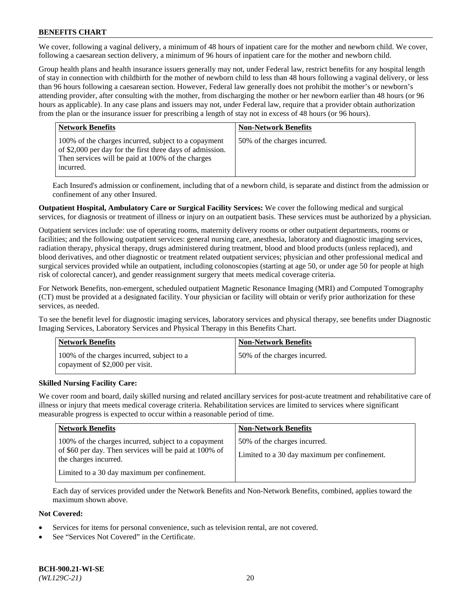We cover, following a vaginal delivery, a minimum of 48 hours of inpatient care for the mother and newborn child. We cover, following a caesarean section delivery, a minimum of 96 hours of inpatient care for the mother and newborn child.

Group health plans and health insurance issuers generally may not, under Federal law, restrict benefits for any hospital length of stay in connection with childbirth for the mother of newborn child to less than 48 hours following a vaginal delivery, or less than 96 hours following a caesarean section. However, Federal law generally does not prohibit the mother's or newborn's attending provider, after consulting with the mother, from discharging the mother or her newborn earlier than 48 hours (or 96 hours as applicable). In any case plans and issuers may not, under Federal law, require that a provider obtain authorization from the plan or the insurance issuer for prescribing a length of stay not in excess of 48 hours (or 96 hours).

| <b>Network Benefits</b>                                                                                                                                                             | <b>Non-Network Benefits</b>  |
|-------------------------------------------------------------------------------------------------------------------------------------------------------------------------------------|------------------------------|
| 100% of the charges incurred, subject to a copayment<br>of \$2,000 per day for the first three days of admission.<br>Then services will be paid at 100% of the charges<br>incurred. | 50% of the charges incurred. |

Each Insured's admission or confinement, including that of a newborn child, is separate and distinct from the admission or confinement of any other Insured.

**Outpatient Hospital, Ambulatory Care or Surgical Facility Services:** We cover the following medical and surgical services, for diagnosis or treatment of illness or injury on an outpatient basis. These services must be authorized by a physician.

Outpatient services include: use of operating rooms, maternity delivery rooms or other outpatient departments, rooms or facilities; and the following outpatient services: general nursing care, anesthesia, laboratory and diagnostic imaging services, radiation therapy, physical therapy, drugs administered during treatment, blood and blood products (unless replaced), and blood derivatives, and other diagnostic or treatment related outpatient services; physician and other professional medical and surgical services provided while an outpatient, including colonoscopies (starting at age 50, or under age 50 for people at high risk of colorectal cancer), and gender reassignment surgery that meets medical coverage criteria.

For Network Benefits, non-emergent, scheduled outpatient Magnetic Resonance Imaging (MRI) and Computed Tomography (CT) must be provided at a designated facility. Your physician or facility will obtain or verify prior authorization for these services, as needed.

To see the benefit level for diagnostic imaging services, laboratory services and physical therapy, see benefits under Diagnostic Imaging Services, Laboratory Services and Physical Therapy in this Benefits Chart.

| <b>Network Benefits</b>                                                       | <b>Non-Network Benefits</b>  |
|-------------------------------------------------------------------------------|------------------------------|
| 100% of the charges incurred, subject to a<br>copayment of \$2,000 per visit. | 50% of the charges incurred. |

## **Skilled Nursing Facility Care:**

We cover room and board, daily skilled nursing and related ancillary services for post-acute treatment and rehabilitative care of illness or injury that meets medical coverage criteria. Rehabilitation services are limited to services where significant measurable progress is expected to occur within a reasonable period of time.

| <b>Network Benefits</b>                                                                                                                 | <b>Non-Network Benefits</b>                                                  |
|-----------------------------------------------------------------------------------------------------------------------------------------|------------------------------------------------------------------------------|
| 100% of the charges incurred, subject to a copayment<br>of \$60 per day. Then services will be paid at 100% of<br>the charges incurred. | 50% of the charges incurred.<br>Limited to a 30 day maximum per confinement. |
| Limited to a 30 day maximum per confinement.                                                                                            |                                                                              |

Each day of services provided under the Network Benefits and Non-Network Benefits, combined, applies toward the maximum shown above.

#### **Not Covered:**

- Services for items for personal convenience, such as television rental, are not covered.
- See "Services Not Covered" in the Certificate.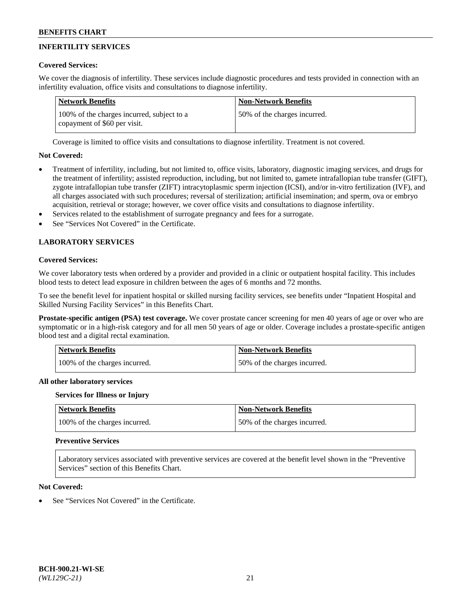# **INFERTILITY SERVICES**

## **Covered Services:**

We cover the diagnosis of infertility. These services include diagnostic procedures and tests provided in connection with an infertility evaluation, office visits and consultations to diagnose infertility.

| <b>Network Benefits</b>                                                    | <b>Non-Network Benefits</b>  |
|----------------------------------------------------------------------------|------------------------------|
| 100% of the charges incurred, subject to a<br>copayment of \$60 per visit. | 50% of the charges incurred. |

Coverage is limited to office visits and consultations to diagnose infertility. Treatment is not covered.

## **Not Covered:**

- Treatment of infertility, including, but not limited to, office visits, laboratory, diagnostic imaging services, and drugs for the treatment of infertility; assisted reproduction, including, but not limited to, gamete intrafallopian tube transfer (GIFT), zygote intrafallopian tube transfer (ZIFT) intracytoplasmic sperm injection (ICSI), and/or in-vitro fertilization (IVF), and all charges associated with such procedures; reversal of sterilization; artificial insemination; and sperm, ova or embryo acquisition, retrieval or storage; however, we cover office visits and consultations to diagnose infertility.
- Services related to the establishment of surrogate pregnancy and fees for a surrogate.
- See "Services Not Covered" in the Certificate.

## **LABORATORY SERVICES**

## **Covered Services:**

We cover laboratory tests when ordered by a provider and provided in a clinic or outpatient hospital facility. This includes blood tests to detect lead exposure in children between the ages of 6 months and 72 months.

To see the benefit level for inpatient hospital or skilled nursing facility services, see benefits under "Inpatient Hospital and Skilled Nursing Facility Services" in this Benefits Chart.

**Prostate-specific antigen (PSA) test coverage.** We cover prostate cancer screening for men 40 years of age or over who are symptomatic or in a high-risk category and for all men 50 years of age or older. Coverage includes a prostate-specific antigen blood test and a digital rectal examination.

| <b>Network Benefits</b>       | <b>Non-Network Benefits</b>  |
|-------------------------------|------------------------------|
| 100% of the charges incurred. | 50% of the charges incurred. |

## **All other laboratory services**

## **Services for Illness or Injury**

| <b>Network Benefits</b>       | Non-Network Benefits         |
|-------------------------------|------------------------------|
| 100% of the charges incurred. | 50% of the charges incurred. |

## **Preventive Services**

Laboratory services associated with preventive services are covered at the benefit level shown in the "Preventive Services" section of this Benefits Chart.

## **Not Covered:**

See "Services Not Covered" in the Certificate.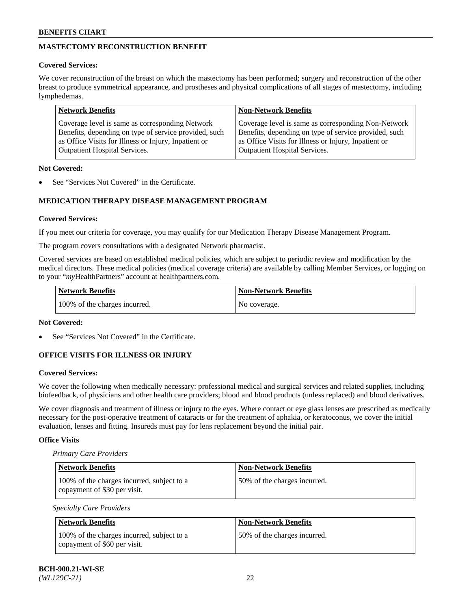# **MASTECTOMY RECONSTRUCTION BENEFIT**

## **Covered Services:**

We cover reconstruction of the breast on which the mastectomy has been performed; surgery and reconstruction of the other breast to produce symmetrical appearance, and prostheses and physical complications of all stages of mastectomy, including lymphedemas.

| <b>Network Benefits</b>                               | <b>Non-Network Benefits</b>                           |
|-------------------------------------------------------|-------------------------------------------------------|
| Coverage level is same as corresponding Network       | Coverage level is same as corresponding Non-Network   |
| Benefits, depending on type of service provided, such | Benefits, depending on type of service provided, such |
| as Office Visits for Illness or Injury, Inpatient or  | as Office Visits for Illness or Injury, Inpatient or  |
| <b>Outpatient Hospital Services.</b>                  | <b>Outpatient Hospital Services.</b>                  |

### **Not Covered:**

See "Services Not Covered" in the Certificate.

## **MEDICATION THERAPY DISEASE MANAGEMENT PROGRAM**

### **Covered Services:**

If you meet our criteria for coverage, you may qualify for our Medication Therapy Disease Management Program.

The program covers consultations with a designated Network pharmacist.

Covered services are based on established medical policies, which are subject to periodic review and modification by the medical directors. These medical policies (medical coverage criteria) are available by calling Member Services, or logging on to your "*my*HealthPartners" account at [healthpartners.com.](http://www.healthpartners.com/)

| Network Benefits              | <b>Non-Network Benefits</b> |
|-------------------------------|-----------------------------|
| 100% of the charges incurred. | No coverage.                |

#### **Not Covered:**

See "Services Not Covered" in the Certificate.

## **OFFICE VISITS FOR ILLNESS OR INJURY**

## **Covered Services:**

We cover the following when medically necessary: professional medical and surgical services and related supplies, including biofeedback, of physicians and other health care providers; blood and blood products (unless replaced) and blood derivatives.

We cover diagnosis and treatment of illness or injury to the eyes. Where contact or eye glass lenses are prescribed as medically necessary for the post-operative treatment of cataracts or for the treatment of aphakia, or keratoconus, we cover the initial evaluation, lenses and fitting. Insureds must pay for lens replacement beyond the initial pair.

## **Office Visits**

#### *Primary Care Providers*

| <b>Network Benefits</b>                                                    | <b>Non-Network Benefits</b>  |
|----------------------------------------------------------------------------|------------------------------|
| 100% of the charges incurred, subject to a<br>copayment of \$30 per visit. | 50% of the charges incurred. |

#### *Specialty Care Providers*

| Network Benefits                                                           | <b>Non-Network Benefits</b>  |
|----------------------------------------------------------------------------|------------------------------|
| 100% of the charges incurred, subject to a<br>copayment of \$60 per visit. | 50% of the charges incurred. |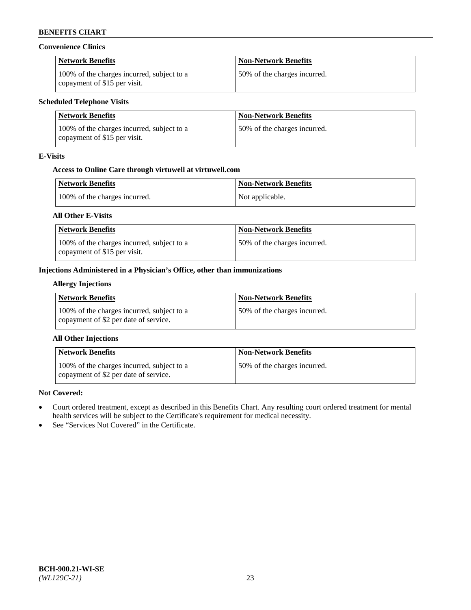## **Convenience Clinics**

| <b>Network Benefits</b>                                                    | <b>Non-Network Benefits</b>  |
|----------------------------------------------------------------------------|------------------------------|
| 100% of the charges incurred, subject to a<br>copayment of \$15 per visit. | 50% of the charges incurred. |

### **Scheduled Telephone Visits**

| Network Benefits                                                           | <b>Non-Network Benefits</b>  |
|----------------------------------------------------------------------------|------------------------------|
| 100% of the charges incurred, subject to a<br>copayment of \$15 per visit. | 50% of the charges incurred. |

### **E-Visits**

## **Access to Online Care through virtuwell a[t virtuwell.com](https://www.virtuwell.com/)**

| Network Benefits              | <b>Non-Network Benefits</b> |
|-------------------------------|-----------------------------|
| 100% of the charges incurred. | Not applicable.             |

### **All Other E-Visits**

| <b>Network Benefits</b>                                                    | <b>Non-Network Benefits</b>  |
|----------------------------------------------------------------------------|------------------------------|
| 100% of the charges incurred, subject to a<br>copayment of \$15 per visit. | 50% of the charges incurred. |

## **Injections Administered in a Physician's Office, other than immunizations**

## **Allergy Injections**

| Network Benefits                                                                    | <b>Non-Network Benefits</b>  |
|-------------------------------------------------------------------------------------|------------------------------|
| 100% of the charges incurred, subject to a<br>copayment of \$2 per date of service. | 50% of the charges incurred. |

## **All Other Injections**

| Network Benefits                                                                    | <b>Non-Network Benefits</b>  |
|-------------------------------------------------------------------------------------|------------------------------|
| 100% of the charges incurred, subject to a<br>copayment of \$2 per date of service. | 50% of the charges incurred. |

#### **Not Covered:**

- Court ordered treatment, except as described in this Benefits Chart. Any resulting court ordered treatment for mental health services will be subject to the Certificate's requirement for medical necessity.
- See "Services Not Covered" in the Certificate.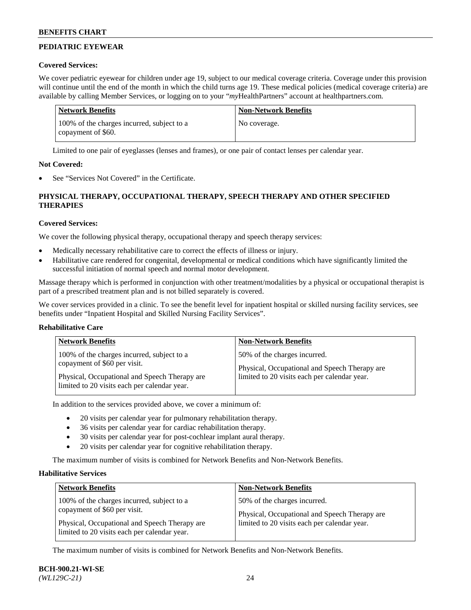# **PEDIATRIC EYEWEAR**

## **Covered Services:**

We cover pediatric eyewear for children under age 19, subject to our medical coverage criteria. Coverage under this provision will continue until the end of the month in which the child turns age 19. These medical policies (medical coverage criteria) are available by calling Member Services, or logging on to your "*my*HealthPartners" account a[t healthpartners.com.](https://www.healthpartners.com/hp/index.html)

| Network Benefits                                                 | <b>Non-Network Benefits</b> |
|------------------------------------------------------------------|-----------------------------|
| 100% of the charges incurred, subject to a<br>copayment of \$60. | No coverage.                |

Limited to one pair of eyeglasses (lenses and frames), or one pair of contact lenses per calendar year.

## **Not Covered:**

See "Services Not Covered" in the Certificate.

# **PHYSICAL THERAPY, OCCUPATIONAL THERAPY, SPEECH THERAPY AND OTHER SPECIFIED THERAPIES**

## **Covered Services:**

We cover the following physical therapy, occupational therapy and speech therapy services:

- Medically necessary rehabilitative care to correct the effects of illness or injury.
- Habilitative care rendered for congenital, developmental or medical conditions which have significantly limited the successful initiation of normal speech and normal motor development.

Massage therapy which is performed in conjunction with other treatment/modalities by a physical or occupational therapist is part of a prescribed treatment plan and is not billed separately is covered.

We cover services provided in a clinic. To see the benefit level for inpatient hospital or skilled nursing facility services, see benefits under "Inpatient Hospital and Skilled Nursing Facility Services".

## **Rehabilitative Care**

| <b>Network Benefits</b>                       | <b>Non-Network Benefits</b>                   |
|-----------------------------------------------|-----------------------------------------------|
| 100% of the charges incurred, subject to a    | 50% of the charges incurred.                  |
| copayment of \$60 per visit.                  | Physical, Occupational and Speech Therapy are |
| Physical, Occupational and Speech Therapy are | limited to 20 visits each per calendar year.  |
| limited to 20 visits each per calendar year.  |                                               |

In addition to the services provided above, we cover a minimum of:

- 20 visits per calendar year for pulmonary rehabilitation therapy.
- 36 visits per calendar year for cardiac rehabilitation therapy.
- 30 visits per calendar year for post-cochlear implant aural therapy.
- 20 visits per calendar year for cognitive rehabilitation therapy.

The maximum number of visits is combined for Network Benefits and Non-Network Benefits.

## **Habilitative Services**

| <b>Network Benefits</b>                                                                       | <b>Non-Network Benefits</b>                                                                   |
|-----------------------------------------------------------------------------------------------|-----------------------------------------------------------------------------------------------|
| 100% of the charges incurred, subject to a<br>copayment of \$60 per visit.                    | 50% of the charges incurred.                                                                  |
| Physical, Occupational and Speech Therapy are<br>limited to 20 visits each per calendar year. | Physical, Occupational and Speech Therapy are<br>limited to 20 visits each per calendar year. |

The maximum number of visits is combined for Network Benefits and Non-Network Benefits.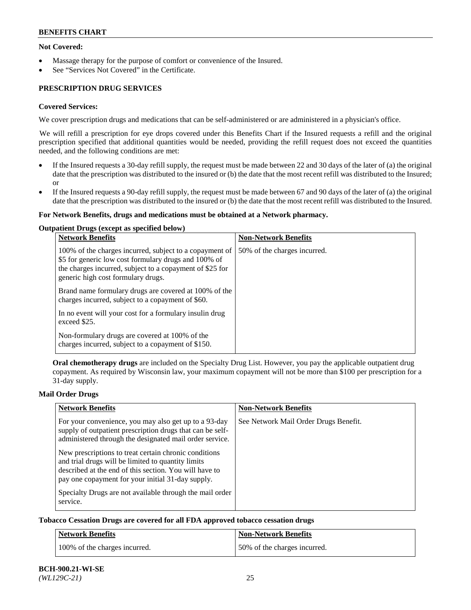## **Not Covered:**

- Massage therapy for the purpose of comfort or convenience of the Insured.
- See "Services Not Covered" in the Certificate.

## **PRESCRIPTION DRUG SERVICES**

### **Covered Services:**

We cover prescription drugs and medications that can be self-administered or are administered in a physician's office.

We will refill a prescription for eye drops covered under this Benefits Chart if the Insured requests a refill and the original prescription specified that additional quantities would be needed, providing the refill request does not exceed the quantities needed, and the following conditions are met:

- If the Insured requests a 30-day refill supply, the request must be made between 22 and 30 days of the later of (a) the original date that the prescription was distributed to the insured or (b) the date that the most recent refill was distributed to the Insured; or
- If the Insured requests a 90-day refill supply, the request must be made between 67 and 90 days of the later of (a) the original date that the prescription was distributed to the insured or (b) the date that the most recent refill was distributed to the Insured.

#### **For Network Benefits, drugs and medications must be obtained at a Network pharmacy.**

#### **Outpatient Drugs (except as specified below)**

| <b>Network Benefits</b>                                                                                                                                                                                           | <b>Non-Network Benefits</b>  |
|-------------------------------------------------------------------------------------------------------------------------------------------------------------------------------------------------------------------|------------------------------|
| 100% of the charges incurred, subject to a copayment of<br>\$5 for generic low cost formulary drugs and 100% of<br>the charges incurred, subject to a copayment of \$25 for<br>generic high cost formulary drugs. | 50% of the charges incurred. |
| Brand name formulary drugs are covered at 100% of the<br>charges incurred, subject to a copayment of \$60.                                                                                                        |                              |
| In no event will your cost for a formulary insulin drug<br>exceed \$25.                                                                                                                                           |                              |
| Non-formulary drugs are covered at 100% of the<br>charges incurred, subject to a copayment of \$150.                                                                                                              |                              |

**Oral chemotherapy drugs** are included on the Specialty Drug List. However, you pay the applicable outpatient drug copayment. As required by Wisconsin law, your maximum copayment will not be more than \$100 per prescription for a 31-day supply.

#### **Mail Order Drugs**

| <b>Network Benefits</b>                                                                                                                                                                                                    | <b>Non-Network Benefits</b>           |
|----------------------------------------------------------------------------------------------------------------------------------------------------------------------------------------------------------------------------|---------------------------------------|
| For your convenience, you may also get up to a 93-day<br>supply of outpatient prescription drugs that can be self-<br>administered through the designated mail order service.                                              | See Network Mail Order Drugs Benefit. |
| New prescriptions to treat certain chronic conditions<br>and trial drugs will be limited to quantity limits<br>described at the end of this section. You will have to<br>pay one copayment for your initial 31-day supply. |                                       |
| Specialty Drugs are not available through the mail order<br>service.                                                                                                                                                       |                                       |

#### **Tobacco Cessation Drugs are covered for all FDA approved tobacco cessation drugs**

| <b>Network Benefits</b>       | <b>Non-Network Benefits</b>  |
|-------------------------------|------------------------------|
| 100% of the charges incurred. | 50% of the charges incurred. |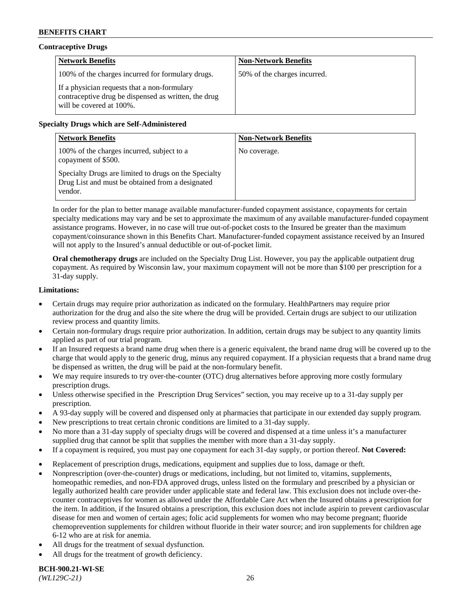## **Contraceptive Drugs**

| <b>Network Benefits</b>                                                                                                          | <b>Non-Network Benefits</b>  |
|----------------------------------------------------------------------------------------------------------------------------------|------------------------------|
| 100% of the charges incurred for formulary drugs.                                                                                | 50% of the charges incurred. |
| If a physician requests that a non-formulary<br>contraceptive drug be dispensed as written, the drug<br>will be covered at 100%. |                              |

### **Specialty Drugs which are Self-Administered**

| <b>Network Benefits</b>                                                                                              | <b>Non-Network Benefits</b> |
|----------------------------------------------------------------------------------------------------------------------|-----------------------------|
| 100% of the charges incurred, subject to a<br>copayment of \$500.                                                    | No coverage.                |
| Specialty Drugs are limited to drugs on the Specialty<br>Drug List and must be obtained from a designated<br>vendor. |                             |

In order for the plan to better manage available manufacturer-funded copayment assistance, copayments for certain specialty medications may vary and be set to approximate the maximum of any available manufacturer-funded copayment assistance programs. However, in no case will true out-of-pocket costs to the Insured be greater than the maximum copayment/coinsurance shown in this Benefits Chart. Manufacturer-funded copayment assistance received by an Insured will not apply to the Insured's annual deductible or out-of-pocket limit.

**Oral chemotherapy drugs** are included on the Specialty Drug List. However, you pay the applicable outpatient drug copayment. As required by Wisconsin law, your maximum copayment will not be more than \$100 per prescription for a 31-day supply.

### **Limitations:**

- Certain drugs may require prior authorization as indicated on the formulary. HealthPartners may require prior authorization for the drug and also the site where the drug will be provided. Certain drugs are subject to our utilization review process and quantity limits.
- Certain non-formulary drugs require prior authorization. In addition, certain drugs may be subject to any quantity limits applied as part of our trial program.
- If an Insured requests a brand name drug when there is a generic equivalent, the brand name drug will be covered up to the charge that would apply to the generic drug, minus any required copayment. If a physician requests that a brand name drug be dispensed as written, the drug will be paid at the non-formulary benefit.
- We may require insureds to try over-the-counter (OTC) drug alternatives before approving more costly formulary prescription drugs.
- Unless otherwise specified in the Prescription Drug Services" section, you may receive up to a 31-day supply per prescription.
- A 93-day supply will be covered and dispensed only at pharmacies that participate in our extended day supply program.
- New prescriptions to treat certain chronic conditions are limited to a 31-day supply.
- No more than a 31-day supply of specialty drugs will be covered and dispensed at a time unless it's a manufacturer supplied drug that cannot be split that supplies the member with more than a 31-day supply.
- If a copayment is required, you must pay one copayment for each 31-day supply, or portion thereof. **Not Covered:**
- Replacement of prescription drugs, medications, equipment and supplies due to loss, damage or theft.
- Nonprescription (over-the-counter) drugs or medications, including, but not limited to, vitamins, supplements, homeopathic remedies, and non-FDA approved drugs, unless listed on the formulary and prescribed by a physician or legally authorized health care provider under applicable state and federal law. This exclusion does not include over-thecounter contraceptives for women as allowed under the Affordable Care Act when the Insured obtains a prescription for the item. In addition, if the Insured obtains a prescription, this exclusion does not include aspirin to prevent cardiovascular disease for men and women of certain ages; folic acid supplements for women who may become pregnant; fluoride chemoprevention supplements for children without fluoride in their water source; and iron supplements for children age 6-12 who are at risk for anemia.
- All drugs for the treatment of sexual dysfunction.
- All drugs for the treatment of growth deficiency.

**BCH-900.21-WI-SE**  *(WL129C-21)* 26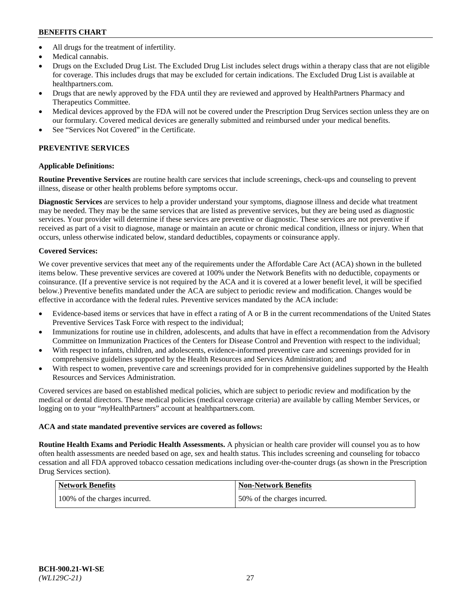- All drugs for the treatment of infertility.
- Medical cannabis.
- Drugs on the Excluded Drug List. The Excluded Drug List includes select drugs within a therapy class that are not eligible for coverage. This includes drugs that may be excluded for certain indications. The Excluded Drug List is available at [healthpartners.com.](http://www.healthpartners.com/)
- Drugs that are newly approved by the FDA until they are reviewed and approved by HealthPartners Pharmacy and Therapeutics Committee.
- Medical devices approved by the FDA will not be covered under the Prescription Drug Services section unless they are on our formulary. Covered medical devices are generally submitted and reimbursed under your medical benefits.
- See "Services Not Covered" in the Certificate.

## **PREVENTIVE SERVICES**

## **Applicable Definitions:**

**Routine Preventive Services** are routine health care services that include screenings, check-ups and counseling to prevent illness, disease or other health problems before symptoms occur.

**Diagnostic Services** are services to help a provider understand your symptoms, diagnose illness and decide what treatment may be needed. They may be the same services that are listed as preventive services, but they are being used as diagnostic services. Your provider will determine if these services are preventive or diagnostic. These services are not preventive if received as part of a visit to diagnose, manage or maintain an acute or chronic medical condition, illness or injury. When that occurs, unless otherwise indicated below, standard deductibles, copayments or coinsurance apply.

## **Covered Services:**

We cover preventive services that meet any of the requirements under the Affordable Care Act (ACA) shown in the bulleted items below. These preventive services are covered at 100% under the Network Benefits with no deductible, copayments or coinsurance. (If a preventive service is not required by the ACA and it is covered at a lower benefit level, it will be specified below.) Preventive benefits mandated under the ACA are subject to periodic review and modification. Changes would be effective in accordance with the federal rules. Preventive services mandated by the ACA include:

- Evidence-based items or services that have in effect a rating of A or B in the current recommendations of the United States Preventive Services Task Force with respect to the individual;
- Immunizations for routine use in children, adolescents, and adults that have in effect a recommendation from the Advisory Committee on Immunization Practices of the Centers for Disease Control and Prevention with respect to the individual;
- With respect to infants, children, and adolescents, evidence-informed preventive care and screenings provided for in comprehensive guidelines supported by the Health Resources and Services Administration; and
- With respect to women, preventive care and screenings provided for in comprehensive guidelines supported by the Health Resources and Services Administration.

Covered services are based on established medical policies, which are subject to periodic review and modification by the medical or dental directors. These medical policies (medical coverage criteria) are available by calling Member Services, or logging on to your "*my*HealthPartners" account at [healthpartners.com.](https://www.healthpartners.com/hp/index.html)

## **ACA and state mandated preventive services are covered as follows:**

**Routine Health Exams and Periodic Health Assessments.** A physician or health care provider will counsel you as to how often health assessments are needed based on age, sex and health status. This includes screening and counseling for tobacco cessation and all FDA approved tobacco cessation medications including over-the-counter drugs (as shown in the Prescription Drug Services section).

| Network Benefits              | <b>Non-Network Benefits</b>  |
|-------------------------------|------------------------------|
| 100% of the charges incurred. | 50% of the charges incurred. |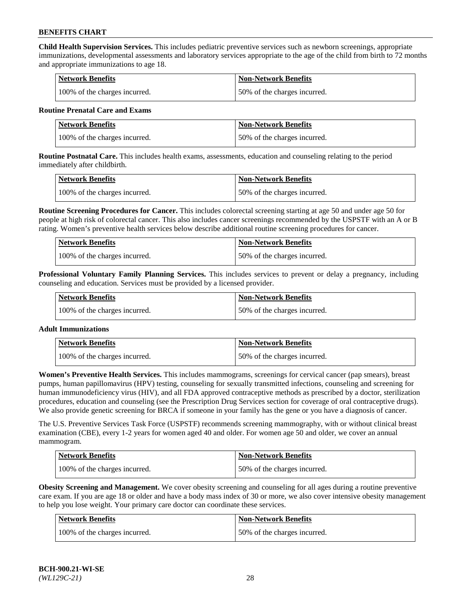**Child Health Supervision Services.** This includes pediatric preventive services such as newborn screenings, appropriate immunizations, developmental assessments and laboratory services appropriate to the age of the child from birth to 72 months and appropriate immunizations to age 18.

| <b>Network Benefits</b>       | <b>Non-Network Benefits</b>  |
|-------------------------------|------------------------------|
| 100% of the charges incurred. | 50% of the charges incurred. |

### **Routine Prenatal Care and Exams**

| <b>Network Benefits</b>       | <b>Non-Network Benefits</b>  |
|-------------------------------|------------------------------|
| 100% of the charges incurred. | 50% of the charges incurred. |

**Routine Postnatal Care.** This includes health exams, assessments, education and counseling relating to the period immediately after childbirth.

| <b>Network Benefits</b>       | Non-Network Benefits         |
|-------------------------------|------------------------------|
| 100% of the charges incurred. | 50% of the charges incurred. |

**Routine Screening Procedures for Cancer.** This includes colorectal screening starting at age 50 and under age 50 for people at high risk of colorectal cancer. This also includes cancer screenings recommended by the USPSTF with an A or B rating. Women's preventive health services below describe additional routine screening procedures for cancer.

| Network Benefits              | <b>Non-Network Benefits</b>  |
|-------------------------------|------------------------------|
| 100% of the charges incurred. | 50% of the charges incurred. |

**Professional Voluntary Family Planning Services.** This includes services to prevent or delay a pregnancy, including counseling and education. Services must be provided by a licensed provider.

| <b>Network Benefits</b>       | <b>Non-Network Benefits</b>  |
|-------------------------------|------------------------------|
| 100% of the charges incurred. | 50% of the charges incurred. |

#### **Adult Immunizations**

| <b>Network Benefits</b>       | <b>Non-Network Benefits</b>  |
|-------------------------------|------------------------------|
| 100% of the charges incurred. | 50% of the charges incurred. |

**Women's Preventive Health Services.** This includes mammograms, screenings for cervical cancer (pap smears), breast pumps, human papillomavirus (HPV) testing, counseling for sexually transmitted infections, counseling and screening for human immunodeficiency virus (HIV), and all FDA approved contraceptive methods as prescribed by a doctor, sterilization procedures, education and counseling (see the Prescription Drug Services section for coverage of oral contraceptive drugs). We also provide genetic screening for BRCA if someone in your family has the gene or you have a diagnosis of cancer.

The U.S. Preventive Services Task Force (USPSTF) recommends screening mammography, with or without clinical breast examination (CBE), every 1-2 years for women aged 40 and older. For women age 50 and older, we cover an annual mammogram.

| Network Benefits              | <b>Non-Network Benefits</b>  |
|-------------------------------|------------------------------|
| 100% of the charges incurred. | 50% of the charges incurred. |

**Obesity Screening and Management.** We cover obesity screening and counseling for all ages during a routine preventive care exam. If you are age 18 or older and have a body mass index of 30 or more, we also cover intensive obesity management to help you lose weight. Your primary care doctor can coordinate these services.

| Network Benefits              | <b>Non-Network Benefits</b>  |
|-------------------------------|------------------------------|
| 100% of the charges incurred. | 50% of the charges incurred. |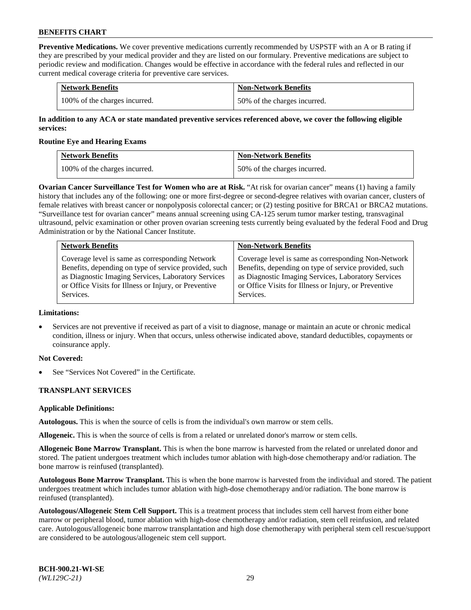**Preventive Medications.** We cover preventive medications currently recommended by USPSTF with an A or B rating if they are prescribed by your medical provider and they are listed on our formulary. Preventive medications are subject to periodic review and modification. Changes would be effective in accordance with the federal rules and reflected in our current medical coverage criteria for preventive care services.

| <b>Network Benefits</b>       | <b>Non-Network Benefits</b>  |
|-------------------------------|------------------------------|
| 100% of the charges incurred. | 50% of the charges incurred. |

**In addition to any ACA or state mandated preventive services referenced above, we cover the following eligible services:**

#### **Routine Eye and Hearing Exams**

| <b>Network Benefits</b>       | <b>Non-Network Benefits</b>  |
|-------------------------------|------------------------------|
| 100% of the charges incurred. | 50% of the charges incurred. |

**Ovarian Cancer Surveillance Test for Women who are at Risk.** "At risk for ovarian cancer" means (1) having a family history that includes any of the following: one or more first-degree or second-degree relatives with ovarian cancer, clusters of female relatives with breast cancer or nonpolyposis colorectal cancer; or (2) testing positive for BRCA1 or BRCA2 mutations. "Surveillance test for ovarian cancer" means annual screening using CA-125 serum tumor marker testing, transvaginal ultrasound, pelvic examination or other proven ovarian screening tests currently being evaluated by the federal Food and Drug Administration or by the National Cancer Institute.

| <b>Network Benefits</b>                               | <b>Non-Network Benefits</b>                           |
|-------------------------------------------------------|-------------------------------------------------------|
| Coverage level is same as corresponding Network       | Coverage level is same as corresponding Non-Network   |
| Benefits, depending on type of service provided, such | Benefits, depending on type of service provided, such |
| as Diagnostic Imaging Services, Laboratory Services   | as Diagnostic Imaging Services, Laboratory Services   |
| or Office Visits for Illness or Injury, or Preventive | or Office Visits for Illness or Injury, or Preventive |
| Services.                                             | Services.                                             |

#### **Limitations:**

• Services are not preventive if received as part of a visit to diagnose, manage or maintain an acute or chronic medical condition, illness or injury. When that occurs, unless otherwise indicated above, standard deductibles, copayments or coinsurance apply.

## **Not Covered:**

See "Services Not Covered" in the Certificate.

## **TRANSPLANT SERVICES**

## **Applicable Definitions:**

**Autologous.** This is when the source of cells is from the individual's own marrow or stem cells.

**Allogeneic.** This is when the source of cells is from a related or unrelated donor's marrow or stem cells.

**Allogeneic Bone Marrow Transplant.** This is when the bone marrow is harvested from the related or unrelated donor and stored. The patient undergoes treatment which includes tumor ablation with high-dose chemotherapy and/or radiation. The bone marrow is reinfused (transplanted).

**Autologous Bone Marrow Transplant.** This is when the bone marrow is harvested from the individual and stored. The patient undergoes treatment which includes tumor ablation with high-dose chemotherapy and/or radiation. The bone marrow is reinfused (transplanted).

**Autologous/Allogeneic Stem Cell Support.** This is a treatment process that includes stem cell harvest from either bone marrow or peripheral blood, tumor ablation with high-dose chemotherapy and/or radiation, stem cell reinfusion, and related care. Autologous/allogeneic bone marrow transplantation and high dose chemotherapy with peripheral stem cell rescue/support are considered to be autologous/allogeneic stem cell support.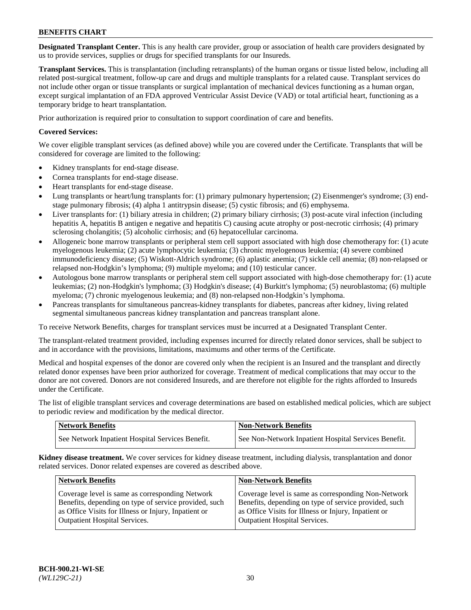**Designated Transplant Center.** This is any health care provider, group or association of health care providers designated by us to provide services, supplies or drugs for specified transplants for our Insureds.

**Transplant Services.** This is transplantation (including retransplants) of the human organs or tissue listed below, including all related post-surgical treatment, follow-up care and drugs and multiple transplants for a related cause. Transplant services do not include other organ or tissue transplants or surgical implantation of mechanical devices functioning as a human organ, except surgical implantation of an FDA approved Ventricular Assist Device (VAD) or total artificial heart, functioning as a temporary bridge to heart transplantation.

Prior authorization is required prior to consultation to support coordination of care and benefits.

## **Covered Services:**

We cover eligible transplant services (as defined above) while you are covered under the Certificate. Transplants that will be considered for coverage are limited to the following:

- Kidney transplants for end-stage disease.
- Cornea transplants for end-stage disease.
- Heart transplants for end-stage disease.
- Lung transplants or heart/lung transplants for: (1) primary pulmonary hypertension; (2) Eisenmenger's syndrome; (3) endstage pulmonary fibrosis; (4) alpha 1 antitrypsin disease; (5) cystic fibrosis; and (6) emphysema.
- Liver transplants for: (1) biliary atresia in children; (2) primary biliary cirrhosis; (3) post-acute viral infection (including hepatitis A, hepatitis B antigen e negative and hepatitis C) causing acute atrophy or post-necrotic cirrhosis; (4) primary sclerosing cholangitis; (5) alcoholic cirrhosis; and (6) hepatocellular carcinoma.
- Allogeneic bone marrow transplants or peripheral stem cell support associated with high dose chemotherapy for: (1) acute myelogenous leukemia; (2) acute lymphocytic leukemia; (3) chronic myelogenous leukemia; (4) severe combined immunodeficiency disease; (5) Wiskott-Aldrich syndrome; (6) aplastic anemia; (7) sickle cell anemia; (8) non-relapsed or relapsed non-Hodgkin's lymphoma; (9) multiple myeloma; and (10) testicular cancer.
- Autologous bone marrow transplants or peripheral stem cell support associated with high-dose chemotherapy for: (1) acute leukemias; (2) non-Hodgkin's lymphoma; (3) Hodgkin's disease; (4) Burkitt's lymphoma; (5) neuroblastoma; (6) multiple myeloma; (7) chronic myelogenous leukemia; and (8) non-relapsed non-Hodgkin's lymphoma.
- Pancreas transplants for simultaneous pancreas-kidney transplants for diabetes, pancreas after kidney, living related segmental simultaneous pancreas kidney transplantation and pancreas transplant alone.

To receive Network Benefits, charges for transplant services must be incurred at a Designated Transplant Center.

The transplant-related treatment provided, including expenses incurred for directly related donor services, shall be subject to and in accordance with the provisions, limitations, maximums and other terms of the Certificate.

Medical and hospital expenses of the donor are covered only when the recipient is an Insured and the transplant and directly related donor expenses have been prior authorized for coverage. Treatment of medical complications that may occur to the donor are not covered. Donors are not considered Insureds, and are therefore not eligible for the rights afforded to Insureds under the Certificate.

The list of eligible transplant services and coverage determinations are based on established medical policies, which are subject to periodic review and modification by the medical director.

| <b>Network Benefits</b>                          | <b>Non-Network Benefits</b>                            |
|--------------------------------------------------|--------------------------------------------------------|
| See Network Inpatient Hospital Services Benefit. | I See Non-Network Inpatient Hospital Services Benefit. |

**Kidney disease treatment.** We cover services for kidney disease treatment, including dialysis, transplantation and donor related services. Donor related expenses are covered as described above.

| <b>Network Benefits</b>                                                                                                                                          | <b>Non-Network Benefits</b>                                                                                                                                          |
|------------------------------------------------------------------------------------------------------------------------------------------------------------------|----------------------------------------------------------------------------------------------------------------------------------------------------------------------|
| Coverage level is same as corresponding Network<br>Benefits, depending on type of service provided, such<br>as Office Visits for Illness or Injury, Inpatient or | Coverage level is same as corresponding Non-Network<br>Benefits, depending on type of service provided, such<br>as Office Visits for Illness or Injury, Inpatient or |
| <b>Outpatient Hospital Services.</b>                                                                                                                             | <b>Outpatient Hospital Services.</b>                                                                                                                                 |